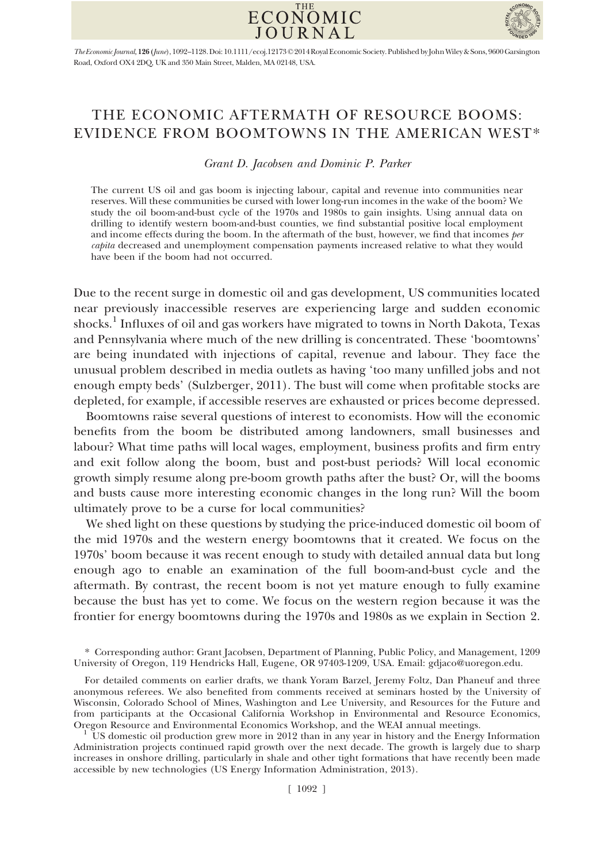



The Economic Journal, 126 (June), 1092–1128.Doi: 10.1111/ecoj.12173©2014RoyalEconomic Society. Published by JohnWiley & Sons, 9600 Garsington Road, Oxford OX4 2DQ, UK and 350 Main Street, Malden, MA 02148, USA.

## THE ECONOMIC AFTERMATH OF RESOURCE BOOMS: EVIDENCE FROM BOOMTOWNS IN THE AMERICAN WEST\*

Grant D. Jacobsen and Dominic P. Parker

The current US oil and gas boom is injecting labour, capital and revenue into communities near reserves. Will these communities be cursed with lower long-run incomes in the wake of the boom? We study the oil boom-and-bust cycle of the 1970s and 1980s to gain insights. Using annual data on drilling to identify western boom-and-bust counties, we find substantial positive local employment and income effects during the boom. In the aftermath of the bust, however, we find that incomes per capita decreased and unemployment compensation payments increased relative to what they would have been if the boom had not occurred.

Due to the recent surge in domestic oil and gas development, US communities located near previously inaccessible reserves are experiencing large and sudden economic shocks.<sup>1</sup> Influxes of oil and gas workers have migrated to towns in North Dakota, Texas and Pennsylvania where much of the new drilling is concentrated. These 'boomtowns' are being inundated with injections of capital, revenue and labour. They face the unusual problem described in media outlets as having 'too many unfilled jobs and not enough empty beds' (Sulzberger, 2011). The bust will come when profitable stocks are depleted, for example, if accessible reserves are exhausted or prices become depressed.

Boomtowns raise several questions of interest to economists. How will the economic benefits from the boom be distributed among landowners, small businesses and labour? What time paths will local wages, employment, business profits and firm entry and exit follow along the boom, bust and post-bust periods? Will local economic growth simply resume along pre-boom growth paths after the bust? Or, will the booms and busts cause more interesting economic changes in the long run? Will the boom ultimately prove to be a curse for local communities?

We shed light on these questions by studying the price-induced domestic oil boom of the mid 1970s and the western energy boomtowns that it created. We focus on the 1970s' boom because it was recent enough to study with detailed annual data but long enough ago to enable an examination of the full boom-and-bust cycle and the aftermath. By contrast, the recent boom is not yet mature enough to fully examine because the bust has yet to come. We focus on the western region because it was the frontier for energy boomtowns during the 1970s and 1980s as we explain in Section 2.

<sup>\*</sup> Corresponding author: Grant Jacobsen, Department of Planning, Public Policy, and Management, 1209 University of Oregon, 119 Hendricks Hall, Eugene, OR 97403-1209, USA. Email: gdjaco@uoregon.edu.

For detailed comments on earlier drafts, we thank Yoram Barzel, Jeremy Foltz, Dan Phaneuf and three anonymous referees. We also benefited from comments received at seminars hosted by the University of Wisconsin, Colorado School of Mines, Washington and Lee University, and Resources for the Future and from participants at the Occasional California Workshop in Environmental and Resource Economics, Oregon Resource and Environmental Economics Workshop, and the WEAI annual meetings.<br><sup>1</sup> US domestic oil production grew more in 2012 than in any year in history and the Energy Information

Administration projects continued rapid growth over the next decade. The growth is largely due to sharp increases in onshore drilling, particularly in shale and other tight formations that have recently been made accessible by new technologies (US Energy Information Administration, 2013).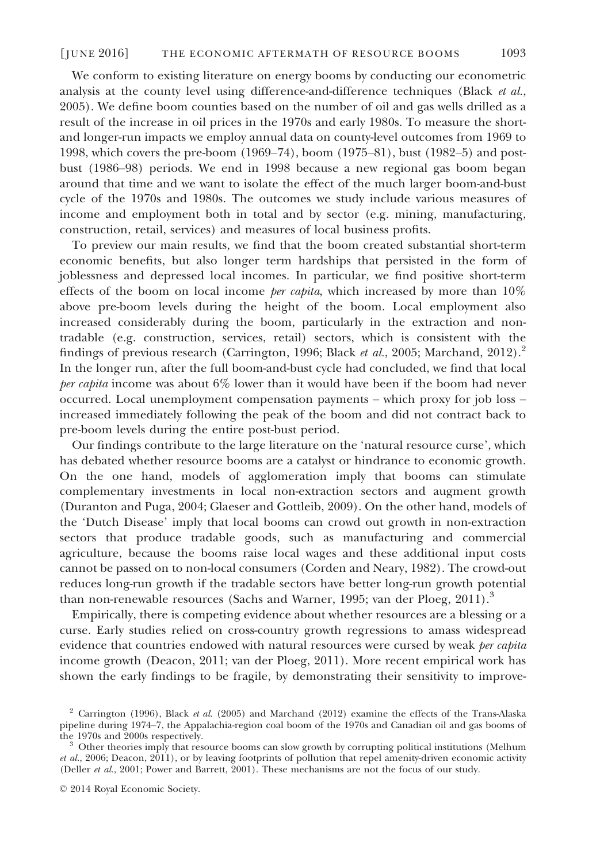We conform to existing literature on energy booms by conducting our econometric analysis at the county level using difference-and-difference techniques (Black  $et al$ , 2005). We define boom counties based on the number of oil and gas wells drilled as a result of the increase in oil prices in the 1970s and early 1980s. To measure the shortand longer-run impacts we employ annual data on county-level outcomes from 1969 to 1998, which covers the pre-boom (1969–74), boom (1975–81), bust (1982–5) and postbust (1986–98) periods. We end in 1998 because a new regional gas boom began around that time and we want to isolate the effect of the much larger boom-and-bust cycle of the 1970s and 1980s. The outcomes we study include various measures of income and employment both in total and by sector (e.g. mining, manufacturing, construction, retail, services) and measures of local business profits.

To preview our main results, we find that the boom created substantial short-term economic benefits, but also longer term hardships that persisted in the form of joblessness and depressed local incomes. In particular, we find positive short-term effects of the boom on local income *per capita*, which increased by more than  $10\%$ above pre-boom levels during the height of the boom. Local employment also increased considerably during the boom, particularly in the extraction and nontradable (e.g. construction, services, retail) sectors, which is consistent with the findings of previous research (Carrington, 1996; Black *et al.*, 2005; Marchand, 2012).<sup>2</sup> In the longer run, after the full boom-and-bust cycle had concluded, we find that local per capita income was about 6% lower than it would have been if the boom had never occurred. Local unemployment compensation payments – which proxy for job loss – increased immediately following the peak of the boom and did not contract back to pre-boom levels during the entire post-bust period.

Our findings contribute to the large literature on the 'natural resource curse', which has debated whether resource booms are a catalyst or hindrance to economic growth. On the one hand, models of agglomeration imply that booms can stimulate complementary investments in local non-extraction sectors and augment growth (Duranton and Puga, 2004; Glaeser and Gottleib, 2009). On the other hand, models of the 'Dutch Disease' imply that local booms can crowd out growth in non-extraction sectors that produce tradable goods, such as manufacturing and commercial agriculture, because the booms raise local wages and these additional input costs cannot be passed on to non-local consumers (Corden and Neary, 1982). The crowd-out reduces long-run growth if the tradable sectors have better long-run growth potential than non-renewable resources (Sachs and Warner, 1995; van der Ploeg, 2011).<sup>3</sup>

Empirically, there is competing evidence about whether resources are a blessing or a curse. Early studies relied on cross-country growth regressions to amass widespread evidence that countries endowed with natural resources were cursed by weak *per capita* income growth (Deacon, 2011; van der Ploeg, 2011). More recent empirical work has shown the early findings to be fragile, by demonstrating their sensitivity to improve-

 $2$  Carrington (1996), Black et al. (2005) and Marchand (2012) examine the effects of the Trans-Alaska pipeline during 1974–7, the Appalachia-region coal boom of the 1970s and Canadian oil and gas booms of

Other theories imply that resource booms can slow growth by corrupting political institutions (Melhum *et al.*, 2006; Deacon, 2011), or by leaving footprints of pollution that repel amenity-driven economic activity (Deller et al., 2001; Power and Barrett, 2001). These mechanisms are not the focus of our study.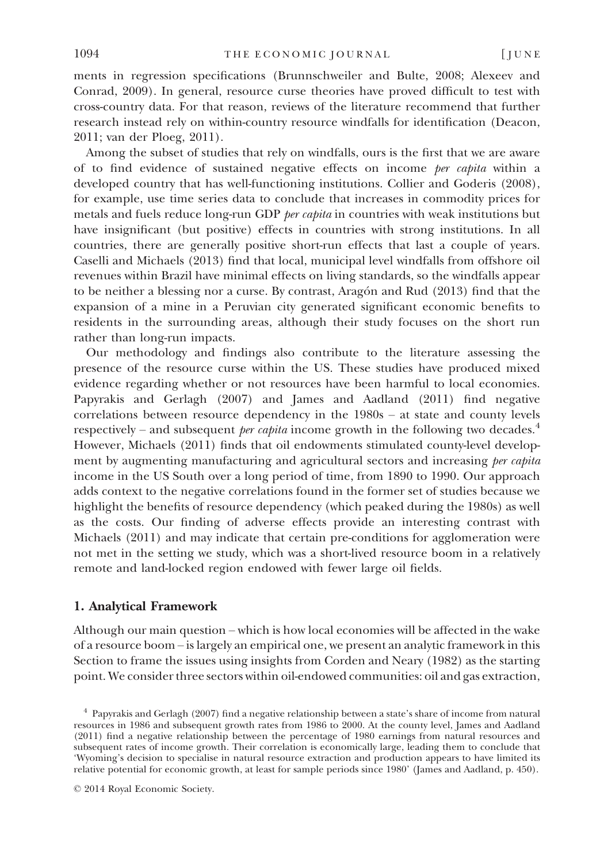ments in regression specifications (Brunnschweiler and Bulte, 2008; Alexeev and Conrad, 2009). In general, resource curse theories have proved difficult to test with cross-country data. For that reason, reviews of the literature recommend that further research instead rely on within-country resource windfalls for identification (Deacon, 2011; van der Ploeg, 2011).

Among the subset of studies that rely on windfalls, ours is the first that we are aware of to find evidence of sustained negative effects on income per capita within a developed country that has well-functioning institutions. Collier and Goderis (2008), for example, use time series data to conclude that increases in commodity prices for metals and fuels reduce long-run GDP per capita in countries with weak institutions but have insignificant (but positive) effects in countries with strong institutions. In all countries, there are generally positive short-run effects that last a couple of years. Caselli and Michaels (2013) find that local, municipal level windfalls from offshore oil revenues within Brazil have minimal effects on living standards, so the windfalls appear to be neither a blessing nor a curse. By contrast, Aragon and Rud (2013) find that the expansion of a mine in a Peruvian city generated significant economic benefits to residents in the surrounding areas, although their study focuses on the short run rather than long-run impacts.

Our methodology and findings also contribute to the literature assessing the presence of the resource curse within the US. These studies have produced mixed evidence regarding whether or not resources have been harmful to local economies. Papyrakis and Gerlagh (2007) and James and Aadland (2011) find negative correlations between resource dependency in the 1980s – at state and county levels respectively – and subsequent *per capita* income growth in the following two decades.<sup>4</sup> However, Michaels (2011) finds that oil endowments stimulated county-level development by augmenting manufacturing and agricultural sectors and increasing *per capita* income in the US South over a long period of time, from 1890 to 1990. Our approach adds context to the negative correlations found in the former set of studies because we highlight the benefits of resource dependency (which peaked during the 1980s) as well as the costs. Our finding of adverse effects provide an interesting contrast with Michaels (2011) and may indicate that certain pre-conditions for agglomeration were not met in the setting we study, which was a short-lived resource boom in a relatively remote and land-locked region endowed with fewer large oil fields.

## 1. Analytical Framework

Although our main question – which is how local economies will be affected in the wake of a resource boom – is largely an empirical one, we present an analytic framework in this Section to frame the issues using insights from Corden and Neary (1982) as the starting point. We consider three sectors within oil-endowed communities: oil and gas extraction,

<sup>4</sup> Papyrakis and Gerlagh (2007) find a negative relationship between a state's share of income from natural resources in 1986 and subsequent growth rates from 1986 to 2000. At the county level, James and Aadland (2011) find a negative relationship between the percentage of 1980 earnings from natural resources and subsequent rates of income growth. Their correlation is economically large, leading them to conclude that 'Wyoming's decision to specialise in natural resource extraction and production appears to have limited its relative potential for economic growth, at least for sample periods since 1980' (James and Aadland, p. 450).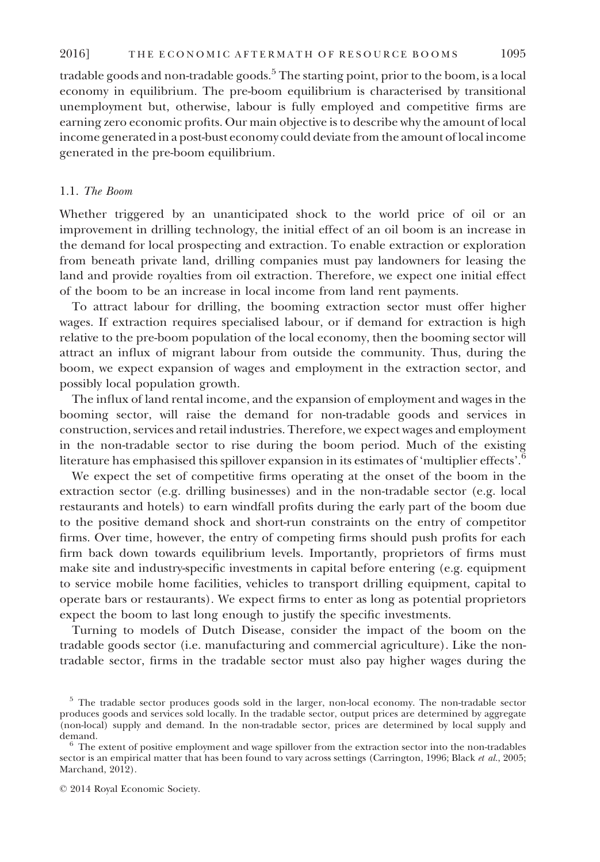tradable goods and non-tradable goods.<sup>5</sup> The starting point, prior to the boom, is a local economy in equilibrium. The pre-boom equilibrium is characterised by transitional unemployment but, otherwise, labour is fully employed and competitive firms are earning zero economic profits. Our main objective is to describe why the amount of local income generated in a post-bust economy could deviate from the amount of local income generated in the pre-boom equilibrium.

## 1.1. The Boom

Whether triggered by an unanticipated shock to the world price of oil or an improvement in drilling technology, the initial effect of an oil boom is an increase in the demand for local prospecting and extraction. To enable extraction or exploration from beneath private land, drilling companies must pay landowners for leasing the land and provide royalties from oil extraction. Therefore, we expect one initial effect of the boom to be an increase in local income from land rent payments.

To attract labour for drilling, the booming extraction sector must offer higher wages. If extraction requires specialised labour, or if demand for extraction is high relative to the pre-boom population of the local economy, then the booming sector will attract an influx of migrant labour from outside the community. Thus, during the boom, we expect expansion of wages and employment in the extraction sector, and possibly local population growth.

The influx of land rental income, and the expansion of employment and wages in the booming sector, will raise the demand for non-tradable goods and services in construction, services and retail industries. Therefore, we expect wages and employment in the non-tradable sector to rise during the boom period. Much of the existing literature has emphasised this spillover expansion in its estimates of 'multiplier effects'.<sup>6</sup>

We expect the set of competitive firms operating at the onset of the boom in the extraction sector (e.g. drilling businesses) and in the non-tradable sector (e.g. local restaurants and hotels) to earn windfall profits during the early part of the boom due to the positive demand shock and short-run constraints on the entry of competitor firms. Over time, however, the entry of competing firms should push profits for each firm back down towards equilibrium levels. Importantly, proprietors of firms must make site and industry-specific investments in capital before entering (e.g. equipment to service mobile home facilities, vehicles to transport drilling equipment, capital to operate bars or restaurants). We expect firms to enter as long as potential proprietors expect the boom to last long enough to justify the specific investments.

Turning to models of Dutch Disease, consider the impact of the boom on the tradable goods sector (i.e. manufacturing and commercial agriculture). Like the nontradable sector, firms in the tradable sector must also pay higher wages during the

<sup>5</sup> The tradable sector produces goods sold in the larger, non-local economy. The non-tradable sector produces goods and services sold locally. In the tradable sector, output prices are determined by aggregate (non-local) supply and demand. In the non-tradable sector, prices are determined by local supply and demand.<br><sup>6</sup> The extent of positive employment and wage spillover from the extraction sector into the non-tradables

sector is an empirical matter that has been found to vary across settings (Carrington, 1996; Black et al., 2005; Marchand, 2012).

<sup>©</sup> 2014 Royal Economic Society.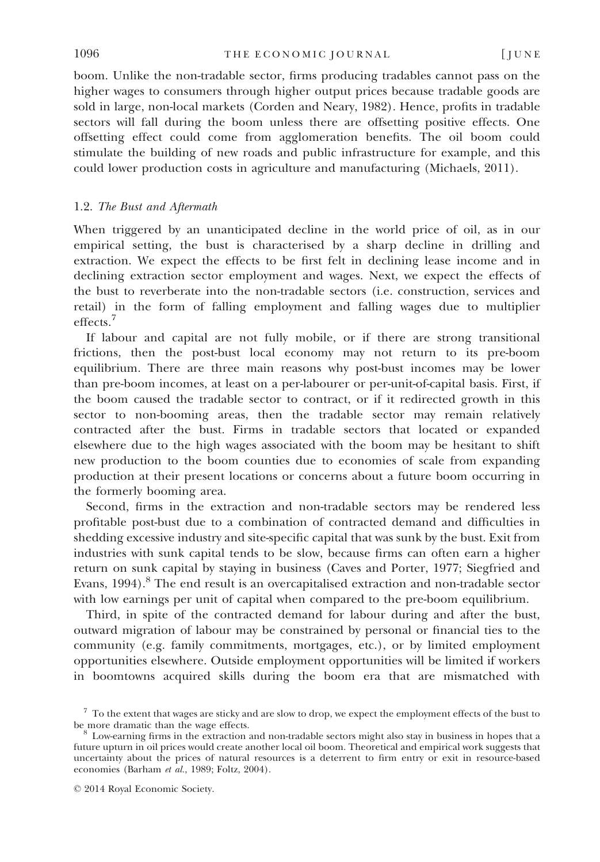boom. Unlike the non-tradable sector, firms producing tradables cannot pass on the higher wages to consumers through higher output prices because tradable goods are sold in large, non-local markets (Corden and Neary, 1982). Hence, profits in tradable sectors will fall during the boom unless there are offsetting positive effects. One offsetting effect could come from agglomeration benefits. The oil boom could stimulate the building of new roads and public infrastructure for example, and this could lower production costs in agriculture and manufacturing (Michaels, 2011).

## 1.2. The Bust and Aftermath

When triggered by an unanticipated decline in the world price of oil, as in our empirical setting, the bust is characterised by a sharp decline in drilling and extraction. We expect the effects to be first felt in declining lease income and in declining extraction sector employment and wages. Next, we expect the effects of the bust to reverberate into the non-tradable sectors (i.e. construction, services and retail) in the form of falling employment and falling wages due to multiplier effects.7

If labour and capital are not fully mobile, or if there are strong transitional frictions, then the post-bust local economy may not return to its pre-boom equilibrium. There are three main reasons why post-bust incomes may be lower than pre-boom incomes, at least on a per-labourer or per-unit-of-capital basis. First, if the boom caused the tradable sector to contract, or if it redirected growth in this sector to non-booming areas, then the tradable sector may remain relatively contracted after the bust. Firms in tradable sectors that located or expanded elsewhere due to the high wages associated with the boom may be hesitant to shift new production to the boom counties due to economies of scale from expanding production at their present locations or concerns about a future boom occurring in the formerly booming area.

Second, firms in the extraction and non-tradable sectors may be rendered less profitable post-bust due to a combination of contracted demand and difficulties in shedding excessive industry and site-specific capital that was sunk by the bust. Exit from industries with sunk capital tends to be slow, because firms can often earn a higher return on sunk capital by staying in business (Caves and Porter, 1977; Siegfried and Evans, 1994).<sup>8</sup> The end result is an overcapitalised extraction and non-tradable sector with low earnings per unit of capital when compared to the pre-boom equilibrium.

Third, in spite of the contracted demand for labour during and after the bust, outward migration of labour may be constrained by personal or financial ties to the community (e.g. family commitments, mortgages, etc.), or by limited employment opportunities elsewhere. Outside employment opportunities will be limited if workers in boomtowns acquired skills during the boom era that are mismatched with

 $7$  To the extent that wages are sticky and are slow to drop, we expect the employment effects of the bust to be more dramatic than the wage effects.

 $8$  Low-earning firms in the extraction and non-tradable sectors might also stay in business in hopes that a future upturn in oil prices would create another local oil boom. Theoretical and empirical work suggests that uncertainty about the prices of natural resources is a deterrent to firm entry or exit in resource-based economies (Barham et al., 1989; Foltz, 2004).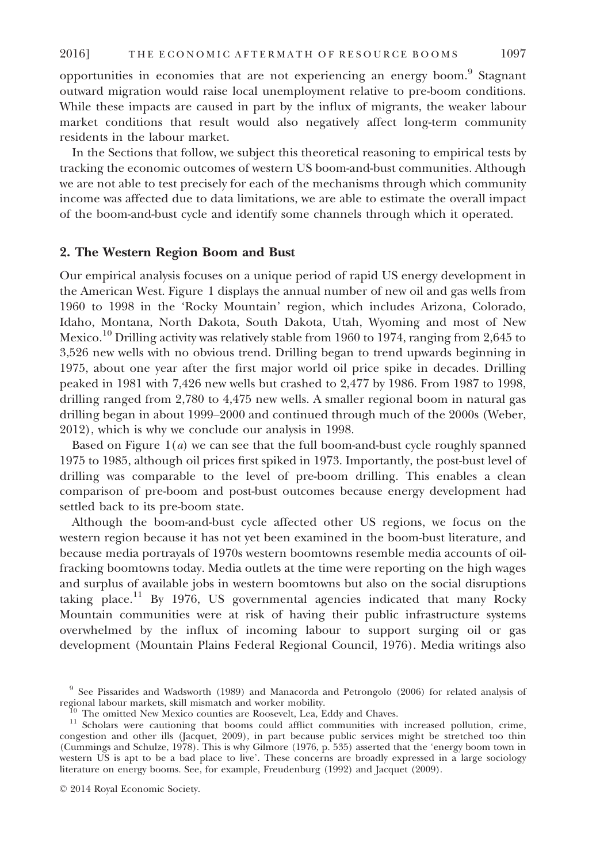opportunities in economies that are not experiencing an energy boom.<sup>9</sup> Stagnant outward migration would raise local unemployment relative to pre-boom conditions. While these impacts are caused in part by the influx of migrants, the weaker labour market conditions that result would also negatively affect long-term community residents in the labour market.

In the Sections that follow, we subject this theoretical reasoning to empirical tests by tracking the economic outcomes of western US boom-and-bust communities. Although we are not able to test precisely for each of the mechanisms through which community income was affected due to data limitations, we are able to estimate the overall impact of the boom-and-bust cycle and identify some channels through which it operated.

## 2. The Western Region Boom and Bust

Our empirical analysis focuses on a unique period of rapid US energy development in the American West. Figure 1 displays the annual number of new oil and gas wells from 1960 to 1998 in the 'Rocky Mountain' region, which includes Arizona, Colorado, Idaho, Montana, North Dakota, South Dakota, Utah, Wyoming and most of New Mexico.<sup>10</sup> Drilling activity was relatively stable from 1960 to 1974, ranging from 2,645 to 3,526 new wells with no obvious trend. Drilling began to trend upwards beginning in 1975, about one year after the first major world oil price spike in decades. Drilling peaked in 1981 with 7,426 new wells but crashed to 2,477 by 1986. From 1987 to 1998, drilling ranged from 2,780 to 4,475 new wells. A smaller regional boom in natural gas drilling began in about 1999–2000 and continued through much of the 2000s (Weber, 2012), which is why we conclude our analysis in 1998.

Based on Figure  $1(a)$  we can see that the full boom-and-bust cycle roughly spanned 1975 to 1985, although oil prices first spiked in 1973. Importantly, the post-bust level of drilling was comparable to the level of pre-boom drilling. This enables a clean comparison of pre-boom and post-bust outcomes because energy development had settled back to its pre-boom state.

Although the boom-and-bust cycle affected other US regions, we focus on the western region because it has not yet been examined in the boom-bust literature, and because media portrayals of 1970s western boomtowns resemble media accounts of oilfracking boomtowns today. Media outlets at the time were reporting on the high wages and surplus of available jobs in western boomtowns but also on the social disruptions taking place.<sup>11</sup> By 1976, US governmental agencies indicated that many Rocky Mountain communities were at risk of having their public infrastructure systems overwhelmed by the influx of incoming labour to support surging oil or gas development (Mountain Plains Federal Regional Council, 1976). Media writings also

 $9$  See Pissarides and Wadsworth (1989) and Manacorda and Petrongolo (2006) for related analysis of regional labour markets, skill mismatch and worker mobility.

 $^{10}$  The omitted New Mexico counties are Roosevelt, Lea, Eddy and Chaves.<br><sup>11</sup> Scholars were cautioning that booms could afflict communities with increased pollution, crime, congestion and other ills (Jacquet, 2009), in part because public services might be stretched too thin (Cummings and Schulze, 1978). This is why Gilmore (1976, p. 535) asserted that the 'energy boom town in western US is apt to be a bad place to live'. These concerns are broadly expressed in a large sociology literature on energy booms. See, for example, Freudenburg (1992) and Jacquet (2009).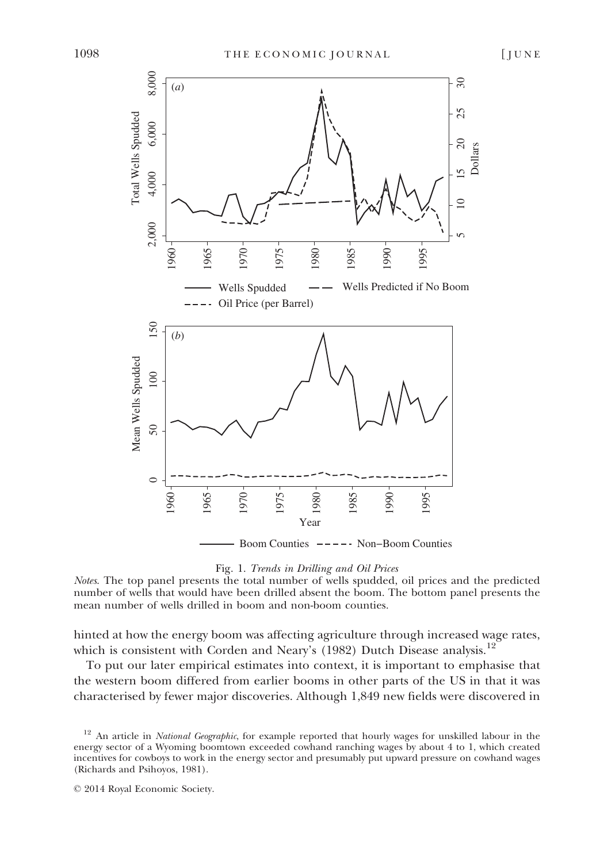

# Fig. 1. Trends in Drilling and Oil Prices

Notes. The top panel presents the total number of wells spudded, oil prices and the predicted number of wells that would have been drilled absent the boom. The bottom panel presents the mean number of wells drilled in boom and non-boom counties.

hinted at how the energy boom was affecting agriculture through increased wage rates, which is consistent with Corden and Neary's (1982) Dutch Disease analysis.<sup>12</sup>

To put our later empirical estimates into context, it is important to emphasise that the western boom differed from earlier booms in other parts of the US in that it was characterised by fewer major discoveries. Although 1,849 new fields were discovered in

An article in National Geographic, for example reported that hourly wages for unskilled labour in the energy sector of a Wyoming boomtown exceeded cowhand ranching wages by about 4 to 1, which created incentives for cowboys to work in the energy sector and presumably put upward pressure on cowhand wages (Richards and Psihoyos, 1981).

<sup>©</sup> 2014 Royal Economic Society.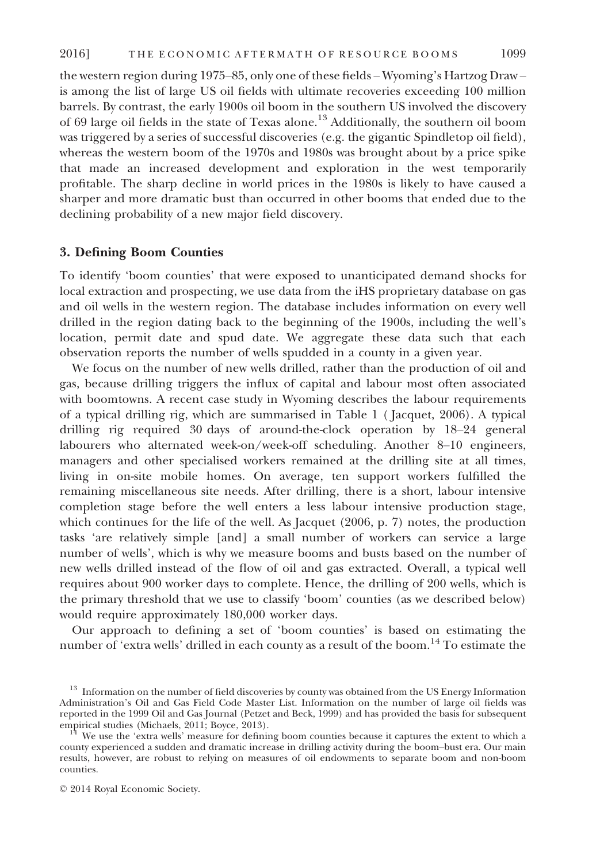the western region during 1975–85, only one of these fields – Wyoming's Hartzog Draw – is among the list of large US oil fields with ultimate recoveries exceeding 100 million barrels. By contrast, the early 1900s oil boom in the southern US involved the discovery of 69 large oil fields in the state of Texas alone.<sup>13</sup> Additionally, the southern oil boom was triggered by a series of successful discoveries (e.g. the gigantic Spindletop oil field), whereas the western boom of the 1970s and 1980s was brought about by a price spike that made an increased development and exploration in the west temporarily profitable. The sharp decline in world prices in the 1980s is likely to have caused a sharper and more dramatic bust than occurred in other booms that ended due to the declining probability of a new major field discovery.

## 3. Defining Boom Counties

To identify 'boom counties' that were exposed to unanticipated demand shocks for local extraction and prospecting, we use data from the iHS proprietary database on gas and oil wells in the western region. The database includes information on every well drilled in the region dating back to the beginning of the 1900s, including the well's location, permit date and spud date. We aggregate these data such that each observation reports the number of wells spudded in a county in a given year.

We focus on the number of new wells drilled, rather than the production of oil and gas, because drilling triggers the influx of capital and labour most often associated with boomtowns. A recent case study in Wyoming describes the labour requirements of a typical drilling rig, which are summarised in Table 1 ( Jacquet, 2006). A typical drilling rig required 30 days of around-the-clock operation by 18–24 general labourers who alternated week-on/week-off scheduling. Another 8–10 engineers, managers and other specialised workers remained at the drilling site at all times, living in on-site mobile homes. On average, ten support workers fulfilled the remaining miscellaneous site needs. After drilling, there is a short, labour intensive completion stage before the well enters a less labour intensive production stage, which continues for the life of the well. As Jacquet (2006, p. 7) notes, the production tasks 'are relatively simple [and] a small number of workers can service a large number of wells', which is why we measure booms and busts based on the number of new wells drilled instead of the flow of oil and gas extracted. Overall, a typical well requires about 900 worker days to complete. Hence, the drilling of 200 wells, which is the primary threshold that we use to classify 'boom' counties (as we described below) would require approximately 180,000 worker days.

Our approach to defining a set of 'boom counties' is based on estimating the number of 'extra wells' drilled in each county as a result of the boom.<sup>14</sup> To estimate the

<sup>&</sup>lt;sup>13</sup> Information on the number of field discoveries by county was obtained from the US Energy Information Administration's Oil and Gas Field Code Master List. Information on the number of large oil fields was reported in the 1999 Oil and Gas Journal (Petzet and Beck, 1999) and has provided the basis for subsequent

We use the 'extra wells' measure for defining boom counties because it captures the extent to which a county experienced a sudden and dramatic increase in drilling activity during the boom–bust era. Our main results, however, are robust to relying on measures of oil endowments to separate boom and non-boom counties.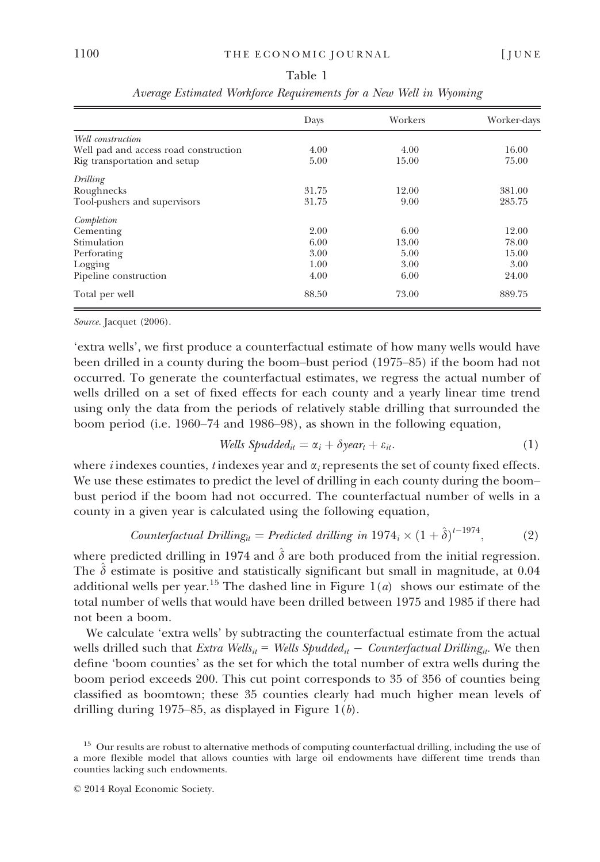|                                       | Days  | Workers | Worker-days |
|---------------------------------------|-------|---------|-------------|
| Well construction                     |       |         |             |
| Well pad and access road construction | 4.00  | 4.00    | 16.00       |
| Rig transportation and setup          | 5.00  | 15.00   | 75.00       |
| Drilling                              |       |         |             |
| Roughnecks                            | 31.75 | 12.00   | 381.00      |
| Tool-pushers and supervisors          | 31.75 | 9.00    | 285.75      |
| Completion                            |       |         |             |
| Cementing                             | 2.00  | 6.00    | 12.00       |
| Stimulation                           | 6.00  | 13.00   | 78.00       |
| Perforating                           | 3.00  | 5.00    | 15.00       |
| Logging                               | 1.00  | 3.00    | 3.00        |
| Pipeline construction                 | 4.00  | 6.00    | 24.00       |
| Total per well                        | 88.50 | 73.00   | 889.75      |

Table 1 Average Estimated Workforce Requirements for a New Well in Wyoming

Source. Jacquet (2006).

'extra wells', we first produce a counterfactual estimate of how many wells would have been drilled in a county during the boom–bust period (1975–85) if the boom had not occurred. To generate the counterfactual estimates, we regress the actual number of wells drilled on a set of fixed effects for each county and a yearly linear time trend using only the data from the periods of relatively stable drilling that surrounded the boom period (i.e. 1960–74 and 1986–98), as shown in the following equation,

$$
Wells \; Spudded_{it} = \alpha_i + \delta year_t + \varepsilon_{it}.\tag{1}
$$

where *i* indexes counties, *t* indexes year and  $\alpha_i$  represents the set of county fixed effects. We use these estimates to predict the level of drilling in each county during the boom– bust period if the boom had not occurred. The counterfactual number of wells in a county in a given year is calculated using the following equation,

Counterfactual Drilling<sub>it</sub> = Predicted drilling in 1974<sub>i</sub> × 
$$
(1 + \hat{\delta})^{t-1974}
$$
, (2)

where predicted drilling in 1974 and  $\hat{\delta}$  are both produced from the initial regression. The  $\hat{\delta}$  estimate is positive and statistically significant but small in magnitude, at 0.04 additional wells per year.<sup>15</sup> The dashed line in Figure  $1(a)$  shows our estimate of the total number of wells that would have been drilled between 1975 and 1985 if there had not been a boom.

We calculate 'extra wells' by subtracting the counterfactual estimate from the actual wells drilled such that Extra Wells<sub>it</sub> = Wells Spudded<sub>it</sub> - Counterfactual Drilling<sub>it</sub>. We then define 'boom counties' as the set for which the total number of extra wells during the boom period exceeds 200. This cut point corresponds to 35 of 356 of counties being classified as boomtown; these 35 counties clearly had much higher mean levels of drilling during 1975–85, as displayed in Figure  $1(b)$ .

<sup>&</sup>lt;sup>15</sup> Our results are robust to alternative methods of computing counterfactual drilling, including the use of a more flexible model that allows counties with large oil endowments have different time trends than counties lacking such endowments.

<sup>©</sup> 2014 Royal Economic Society.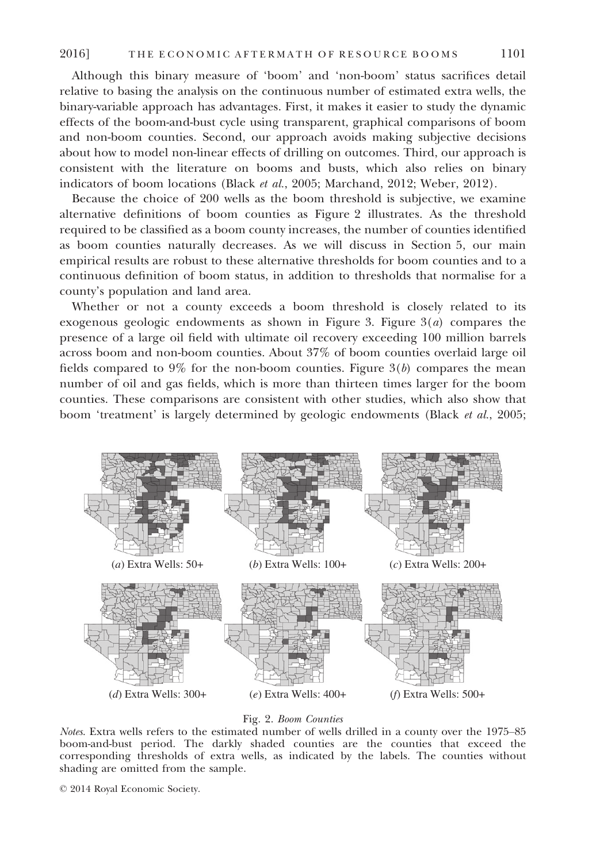Although this binary measure of 'boom' and 'non-boom' status sacrifices detail relative to basing the analysis on the continuous number of estimated extra wells, the binary-variable approach has advantages. First, it makes it easier to study the dynamic effects of the boom-and-bust cycle using transparent, graphical comparisons of boom and non-boom counties. Second, our approach avoids making subjective decisions about how to model non-linear effects of drilling on outcomes. Third, our approach is consistent with the literature on booms and busts, which also relies on binary indicators of boom locations (Black et al., 2005; Marchand, 2012; Weber, 2012).

Because the choice of 200 wells as the boom threshold is subjective, we examine alternative definitions of boom counties as Figure 2 illustrates. As the threshold required to be classified as a boom county increases, the number of counties identified as boom counties naturally decreases. As we will discuss in Section 5, our main empirical results are robust to these alternative thresholds for boom counties and to a continuous definition of boom status, in addition to thresholds that normalise for a county's population and land area.

Whether or not a county exceeds a boom threshold is closely related to its exogenous geologic endowments as shown in Figure 3. Figure  $3(a)$  compares the presence of a large oil field with ultimate oil recovery exceeding 100 million barrels across boom and non-boom counties. About 37% of boom counties overlaid large oil fields compared to  $9\%$  for the non-boom counties. Figure  $3(b)$  compares the mean number of oil and gas fields, which is more than thirteen times larger for the boom counties. These comparisons are consistent with other studies, which also show that boom 'treatment' is largely determined by geologic endowments (Black et al., 2005;



Fig. 2. Boom Counties

Notes. Extra wells refers to the estimated number of wells drilled in a county over the 1975–85 boom-and-bust period. The darkly shaded counties are the counties that exceed the corresponding thresholds of extra wells, as indicated by the labels. The counties without shading are omitted from the sample.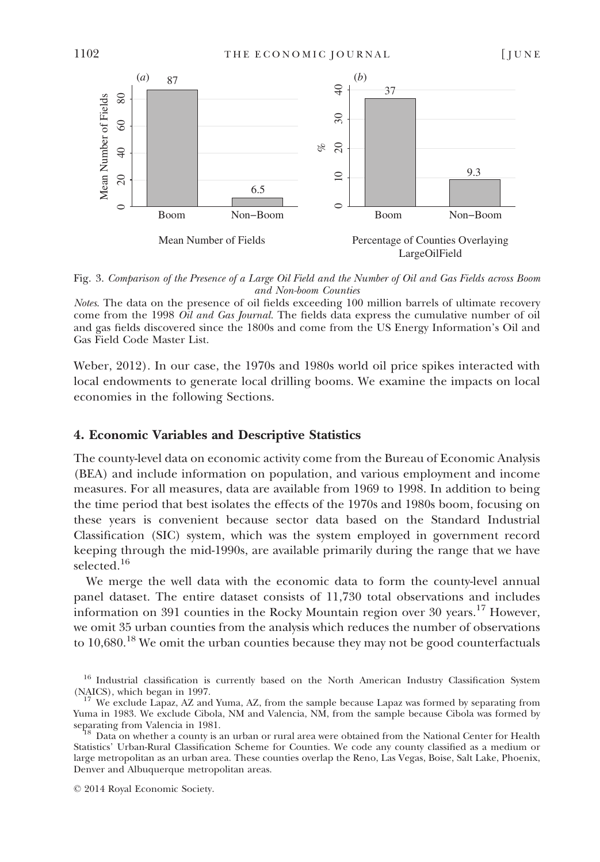

Fig. 3. Comparison of the Presence of a Large Oil Field and the Number of Oil and Gas Fields across Boom and Non-boom Counties

Notes. The data on the presence of oil fields exceeding 100 million barrels of ultimate recovery come from the 1998 Oil and Gas Journal. The fields data express the cumulative number of oil and gas fields discovered since the 1800s and come from the US Energy Information's Oil and Gas Field Code Master List.

Weber, 2012). In our case, the 1970s and 1980s world oil price spikes interacted with local endowments to generate local drilling booms. We examine the impacts on local economies in the following Sections.

## 4. Economic Variables and Descriptive Statistics

The county-level data on economic activity come from the Bureau of Economic Analysis (BEA) and include information on population, and various employment and income measures. For all measures, data are available from 1969 to 1998. In addition to being the time period that best isolates the effects of the 1970s and 1980s boom, focusing on these years is convenient because sector data based on the Standard Industrial Classification (SIC) system, which was the system employed in government record keeping through the mid-1990s, are available primarily during the range that we have selected.<sup>16</sup>

We merge the well data with the economic data to form the county-level annual panel dataset. The entire dataset consists of 11,730 total observations and includes information on 391 counties in the Rocky Mountain region over 30 years.<sup>17</sup> However, we omit 35 urban counties from the analysis which reduces the number of observations to  $10,680$ <sup>18</sup> We omit the urban counties because they may not be good counterfactuals

<sup>&</sup>lt;sup>16</sup> Industrial classification is currently based on the North American Industry Classification System (NAICS), which began in 1997. 17 We exclude Lapaz, AZ and Yuma, AZ, from the sample because Lapaz was formed by separating from

Yuma in 1983. We exclude Cibola, NM and Valencia, NM, from the sample because Cibola was formed by separating from Valencia in 1981.

Data on whether a county is an urban or rural area were obtained from the National Center for Health Statistics' Urban-Rural Classification Scheme for Counties. We code any county classified as a medium or large metropolitan as an urban area. These counties overlap the Reno, Las Vegas, Boise, Salt Lake, Phoenix, Denver and Albuquerque metropolitan areas.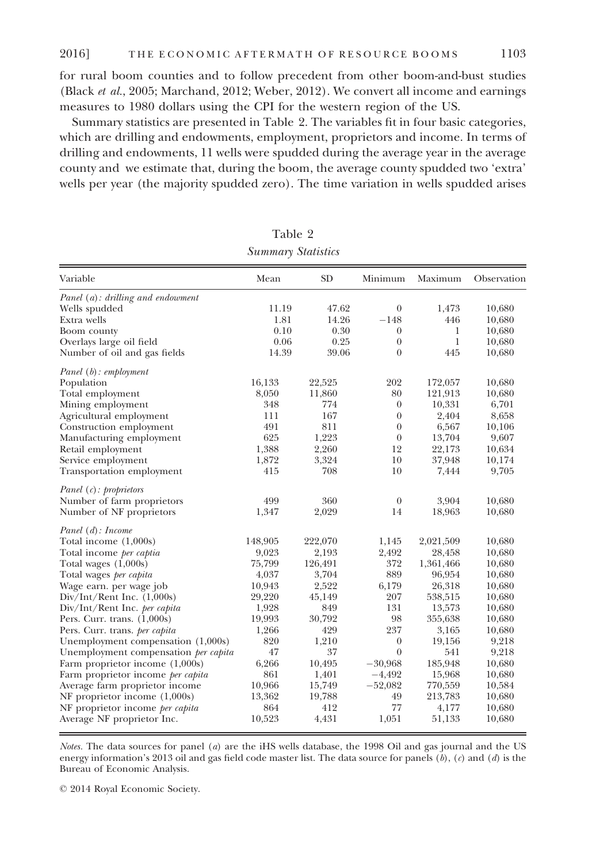for rural boom counties and to follow precedent from other boom-and-bust studies (Black et al., 2005; Marchand, 2012; Weber, 2012). We convert all income and earnings measures to 1980 dollars using the CPI for the western region of the US.

Summary statistics are presented in Table 2. The variables fit in four basic categories, which are drilling and endowments, employment, proprietors and income. In terms of drilling and endowments, 11 wells were spudded during the average year in the average county and we estimate that, during the boom, the average county spudded two 'extra' wells per year (the majority spudded zero). The time variation in wells spudded arises

| Variable                             | Mean    | <b>SD</b> | Minimum          | Maximum   | Observation |
|--------------------------------------|---------|-----------|------------------|-----------|-------------|
| Panel (a): drilling and endowment    |         |           |                  |           |             |
| Wells spudded                        | 11.19   | 47.62     | $\boldsymbol{0}$ | 1,473     | 10,680      |
| Extra wells                          | 1.81    | 14.26     | $-148$           | 446       | 10,680      |
| Boom county                          | 0.10    | 0.30      | $\theta$         | 1         | 10,680      |
| Overlays large oil field             | 0.06    | 0.25      | $\boldsymbol{0}$ | 1         | 10,680      |
| Number of oil and gas fields         | 14.39   | 39.06     | $\theta$         | 445       | 10,680      |
| $Panel(b)$ : employment              |         |           |                  |           |             |
| Population                           | 16,133  | 22,525    | 202              | 172,057   | 10,680      |
| Total employment                     | 8,050   | 11,860    | 80               | 121,913   | 10,680      |
| Mining employment                    | 348     | 774       | $\theta$         | 10,331    | 6,701       |
| Agricultural employment              | 111     | 167       | $\theta$         | 2,404     | 8,658       |
| Construction employment              | 491     | 811       | $\theta$         | 6,567     | 10,106      |
| Manufacturing employment             | 625     | 1,223     | $\boldsymbol{0}$ | 13,704    | 9,607       |
| Retail employment                    | 1,388   | 2,260     | 12               | 22,173    | 10,634      |
| Service employment                   | 1,872   | 3,324     | 10               | 37,948    | 10,174      |
| Transportation employment            | 415     | 708       | 10               | 7,444     | 9,705       |
| Panel $(c)$ : proprietors            |         |           |                  |           |             |
| Number of farm proprietors           | 499     | 360       | $\theta$         | 3,904     | 10,680      |
| Number of NF proprietors             | 1,347   | 2,029     | 14               | 18,963    | 10,680      |
| Panel (d): Income                    |         |           |                  |           |             |
| Total income $(1,000s)$              | 148,905 | 222,070   | 1,145            | 2,021,509 | 10,680      |
| Total income per captia              | 9,023   | 2,193     | 2,492            | 28,458    | 10,680      |
| Total wages $(1,000s)$               | 75,799  | 126,491   | 372              | 1,361,466 | 10,680      |
| Total wages per capita               | 4,037   | 3,704     | 889              | 96,954    | 10,680      |
| Wage earn. per wage job              | 10,943  | 2,522     | 6,179            | 26,318    | 10,680      |
| $Div/Int/Rent$ Inc. $(1,000s)$       | 29,220  | 45,149    | 207              | 538,515   | 10,680      |
| Div/Int/Rent Inc. per capita         | 1,928   | 849       | 131              | 13,573    | 10,680      |
| Pers. Curr. trans. $(1,000s)$        | 19,993  | 30,792    | 98               | 355,638   | 10,680      |
| Pers. Curr. trans. per capita        | 1,266   | 429       | 237              | 3,165     | 10,680      |
| Unemployment compensation (1,000s)   | 820     | 1,210     | $\boldsymbol{0}$ | 19,156    | 9,218       |
| Unemployment compensation per capita | 47      | 37        | $\theta$         | 541       | 9,218       |
| Farm proprietor income $(1,000s)$    | 6,266   | 10,495    | $-30,968$        | 185,948   | 10,680      |
| Farm proprietor income per capita    | 861     | 1,401     | $-4,492$         | 15,968    | 10,680      |
| Average farm proprietor income       | 10,966  | 15,749    | $-52,082$        | 770,559   | 10,584      |
| NF proprietor income $(1,000s)$      | 13,362  | 19,788    | 49               | 213,783   | 10,680      |
| NF proprietor income per capita      | 864     | 412       | 77               | 4,177     | 10,680      |
| Average NF proprietor Inc.           | 10,523  | 4,431     | 1,051            | 51,133    | 10,680      |

Table 2 Summary Statistics

Notes. The data sources for panel (a) are the iHS wells database, the 1998 Oil and gas journal and the US energy information's 2013 oil and gas field code master list. The data source for panels  $(b)$ ,  $(c)$  and  $(d)$  is the Bureau of Economic Analysis.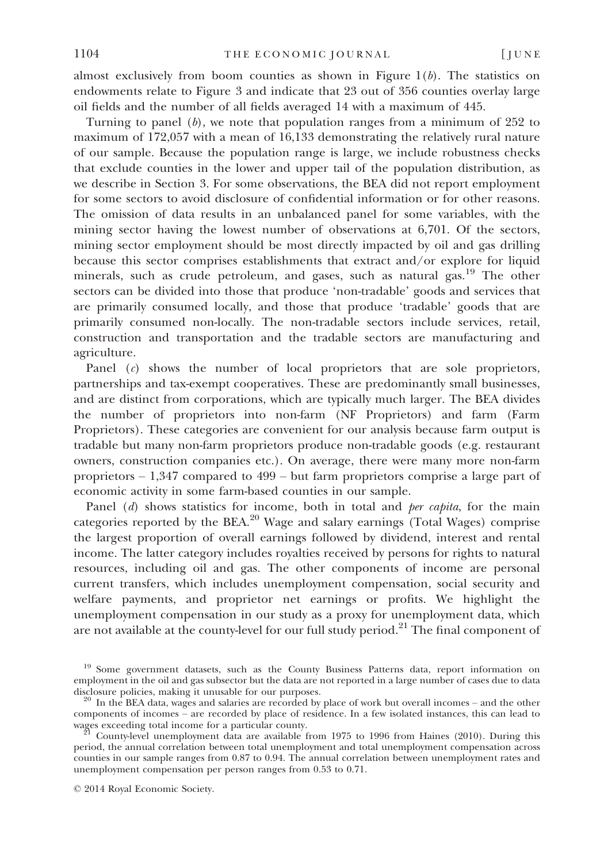almost exclusively from boom counties as shown in Figure  $1(b)$ . The statistics on endowments relate to Figure 3 and indicate that 23 out of 356 counties overlay large oil fields and the number of all fields averaged 14 with a maximum of 445.

Turning to panel  $(b)$ , we note that population ranges from a minimum of 252 to maximum of 172,057 with a mean of 16,133 demonstrating the relatively rural nature of our sample. Because the population range is large, we include robustness checks that exclude counties in the lower and upper tail of the population distribution, as we describe in Section 3. For some observations, the BEA did not report employment for some sectors to avoid disclosure of confidential information or for other reasons. The omission of data results in an unbalanced panel for some variables, with the mining sector having the lowest number of observations at 6,701. Of the sectors, mining sector employment should be most directly impacted by oil and gas drilling because this sector comprises establishments that extract and/or explore for liquid minerals, such as crude petroleum, and gases, such as natural gas.<sup>19</sup> The other sectors can be divided into those that produce 'non-tradable' goods and services that are primarily consumed locally, and those that produce 'tradable' goods that are primarily consumed non-locally. The non-tradable sectors include services, retail, construction and transportation and the tradable sectors are manufacturing and agriculture.

Panel  $(c)$  shows the number of local proprietors that are sole proprietors, partnerships and tax-exempt cooperatives. These are predominantly small businesses, and are distinct from corporations, which are typically much larger. The BEA divides the number of proprietors into non-farm (NF Proprietors) and farm (Farm Proprietors). These categories are convenient for our analysis because farm output is tradable but many non-farm proprietors produce non-tradable goods (e.g. restaurant owners, construction companies etc.). On average, there were many more non-farm proprietors – 1,347 compared to 499 – but farm proprietors comprise a large part of economic activity in some farm-based counties in our sample.

Panel  $(d)$  shows statistics for income, both in total and per capita, for the main categories reported by the BEA.<sup>20</sup> Wage and salary earnings (Total Wages) comprise the largest proportion of overall earnings followed by dividend, interest and rental income. The latter category includes royalties received by persons for rights to natural resources, including oil and gas. The other components of income are personal current transfers, which includes unemployment compensation, social security and welfare payments, and proprietor net earnings or profits. We highlight the unemployment compensation in our study as a proxy for unemployment data, which are not available at the county-level for our full study period.<sup>21</sup> The final component of

<sup>&</sup>lt;sup>19</sup> Some government datasets, such as the County Business Patterns data, report information on employment in the oil and gas subsector but the data are not reported in a large number of cases due to data disclosure policies, making it unusable for our purposes.

 $\frac{20}{20}$  In the BEA data, wages and salaries are recorded by place of work but overall incomes – and the other components of incomes – are recorded by place of residence. In a few isolated instances, this can lead to

County-level unemployment data are available from 1975 to 1996 from Haines (2010). During this period, the annual correlation between total unemployment and total unemployment compensation across counties in our sample ranges from 0.87 to 0.94. The annual correlation between unemployment rates and unemployment compensation per person ranges from 0.53 to 0.71.

<sup>©</sup> 2014 Royal Economic Society.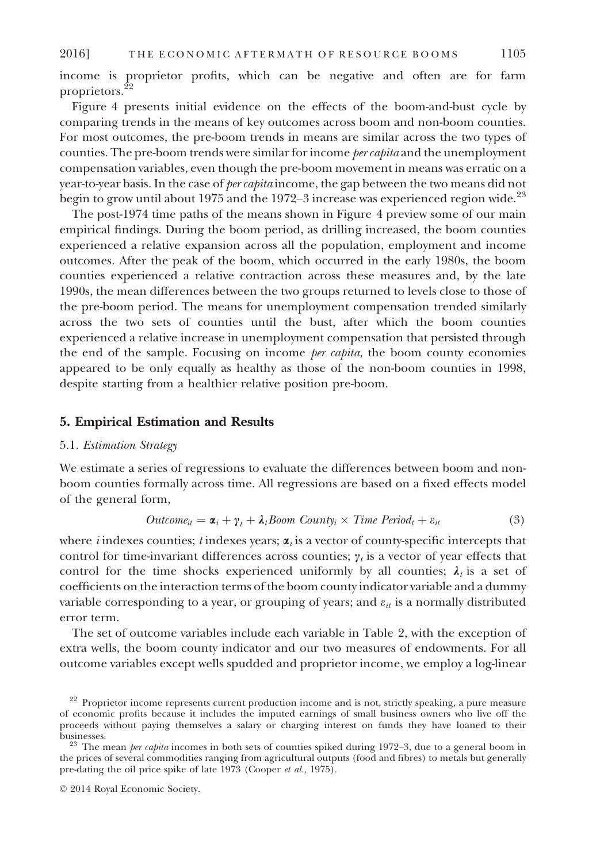income is proprietor profits, which can be negative and often are for farm proprietors.<sup>22</sup>

Figure 4 presents initial evidence on the effects of the boom-and-bust cycle by comparing trends in the means of key outcomes across boom and non-boom counties. For most outcomes, the pre-boom trends in means are similar across the two types of counties. The pre-boom trends were similar for income per capita and the unemployment compensation variables, even though the pre-boom movement in means was erratic on a year-to-year basis. In the case of *per capita* income, the gap between the two means did not begin to grow until about 1975 and the 1972–3 increase was experienced region wide. $^{23}$ 

The post-1974 time paths of the means shown in Figure 4 preview some of our main empirical findings. During the boom period, as drilling increased, the boom counties experienced a relative expansion across all the population, employment and income outcomes. After the peak of the boom, which occurred in the early 1980s, the boom counties experienced a relative contraction across these measures and, by the late 1990s, the mean differences between the two groups returned to levels close to those of the pre-boom period. The means for unemployment compensation trended similarly across the two sets of counties until the bust, after which the boom counties experienced a relative increase in unemployment compensation that persisted through the end of the sample. Focusing on income *per capita*, the boom county economies appeared to be only equally as healthy as those of the non-boom counties in 1998, despite starting from a healthier relative position pre-boom.

## 5. Empirical Estimation and Results

## 5.1. Estimation Strategy

We estimate a series of regressions to evaluate the differences between boom and nonboom counties formally across time. All regressions are based on a fixed effects model of the general form,

$$
Outcome_{it} = \alpha_i + \gamma_t + \lambda_t \text{Room County}_i \times \text{Time Period}_t + \varepsilon_{it}
$$
\n(3)

where *i* indexes counties; *t* indexes years;  $\alpha_i$  is a vector of county-specific intercepts that control for time-invariant differences across counties;  $\gamma_t$  is a vector of year effects that control for the time shocks experienced uniformly by all counties;  $\lambda_i$  is a set of coefficients on the interaction terms of the boom county indicator variable and a dummy variable corresponding to a year, or grouping of years; and  $\varepsilon_u$  is a normally distributed error term.

The set of outcome variables include each variable in Table 2, with the exception of extra wells, the boom county indicator and our two measures of endowments. For all outcome variables except wells spudded and proprietor income, we employ a log-linear

<sup>&</sup>lt;sup>22</sup> Proprietor income represents current production income and is not, strictly speaking, a pure measure of economic profits because it includes the imputed earnings of small business owners who live off the proceeds without paying themselves a salary or charging interest on funds they have loaned to their

 $b<sup>3</sup>$  The mean *per capita* incomes in both sets of counties spiked during 1972–3, due to a general boom in the prices of several commodities ranging from agricultural outputs (food and fibres) to metals but generally pre-dating the oil price spike of late 1973 (Cooper et al., 1975).

<sup>©</sup> 2014 Royal Economic Society.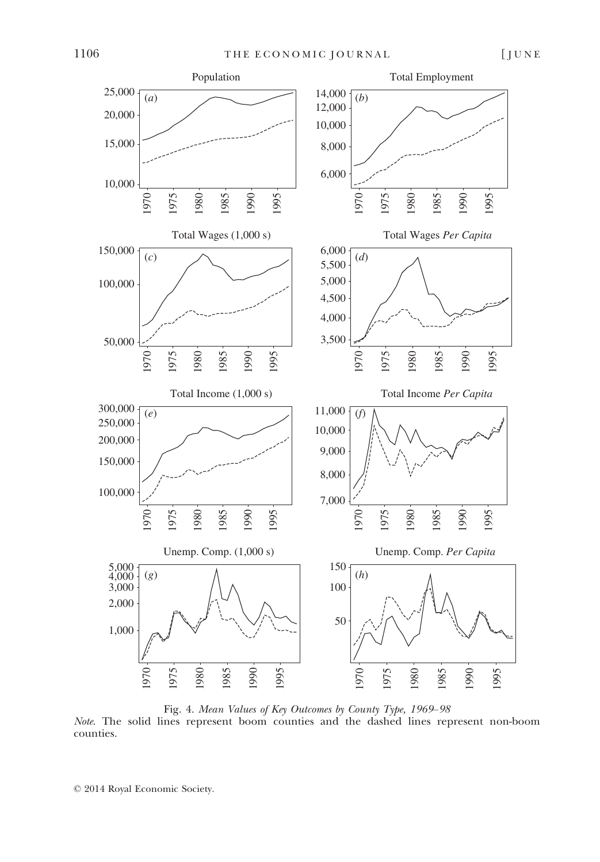

Fig. 4. Mean Values of Key Outcomes by County Type, 1969–98 Note. The solid lines represent boom counties and the dashed lines represent non-boom counties.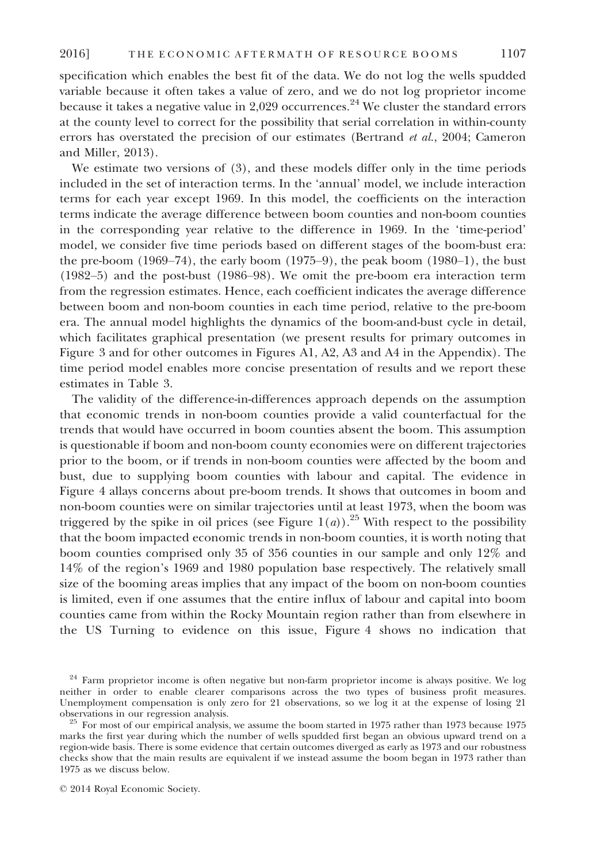specification which enables the best fit of the data. We do not log the wells spudded variable because it often takes a value of zero, and we do not log proprietor income because it takes a negative value in 2,029 occurrences.<sup>24</sup> We cluster the standard errors at the county level to correct for the possibility that serial correlation in within-county errors has overstated the precision of our estimates (Bertrand et al., 2004; Cameron and Miller, 2013).

We estimate two versions of (3), and these models differ only in the time periods included in the set of interaction terms. In the 'annual' model, we include interaction terms for each year except 1969. In this model, the coefficients on the interaction terms indicate the average difference between boom counties and non-boom counties in the corresponding year relative to the difference in 1969. In the 'time-period' model, we consider five time periods based on different stages of the boom-bust era: the pre-boom  $(1969-74)$ , the early boom  $(1975-9)$ , the peak boom  $(1980-1)$ , the bust (1982–5) and the post-bust (1986–98). We omit the pre-boom era interaction term from the regression estimates. Hence, each coefficient indicates the average difference between boom and non-boom counties in each time period, relative to the pre-boom era. The annual model highlights the dynamics of the boom-and-bust cycle in detail, which facilitates graphical presentation (we present results for primary outcomes in Figure 3 and for other outcomes in Figures A1, A2, A3 and A4 in the Appendix). The time period model enables more concise presentation of results and we report these estimates in Table 3.

The validity of the difference-in-differences approach depends on the assumption that economic trends in non-boom counties provide a valid counterfactual for the trends that would have occurred in boom counties absent the boom. This assumption is questionable if boom and non-boom county economies were on different trajectories prior to the boom, or if trends in non-boom counties were affected by the boom and bust, due to supplying boom counties with labour and capital. The evidence in Figure 4 allays concerns about pre-boom trends. It shows that outcomes in boom and non-boom counties were on similar trajectories until at least 1973, when the boom was triggered by the spike in oil prices (see Figure  $1(a)$ ).<sup>25</sup> With respect to the possibility that the boom impacted economic trends in non-boom counties, it is worth noting that boom counties comprised only 35 of 356 counties in our sample and only 12% and 14% of the region's 1969 and 1980 population base respectively. The relatively small size of the booming areas implies that any impact of the boom on non-boom counties is limited, even if one assumes that the entire influx of labour and capital into boom counties came from within the Rocky Mountain region rather than from elsewhere in the US Turning to evidence on this issue, Figure 4 shows no indication that

<sup>&</sup>lt;sup>24</sup> Farm proprietor income is often negative but non-farm proprietor income is always positive. We log neither in order to enable clearer comparisons across the two types of business profit measures. Unemployment compensation is only zero for 21 observations, so we log it at the expense of losing 21

 $5$  For most of our empirical analysis, we assume the boom started in 1975 rather than 1973 because 1975 marks the first year during which the number of wells spudded first began an obvious upward trend on a region-wide basis. There is some evidence that certain outcomes diverged as early as 1973 and our robustness checks show that the main results are equivalent if we instead assume the boom began in 1973 rather than 1975 as we discuss below.

<sup>©</sup> 2014 Royal Economic Society.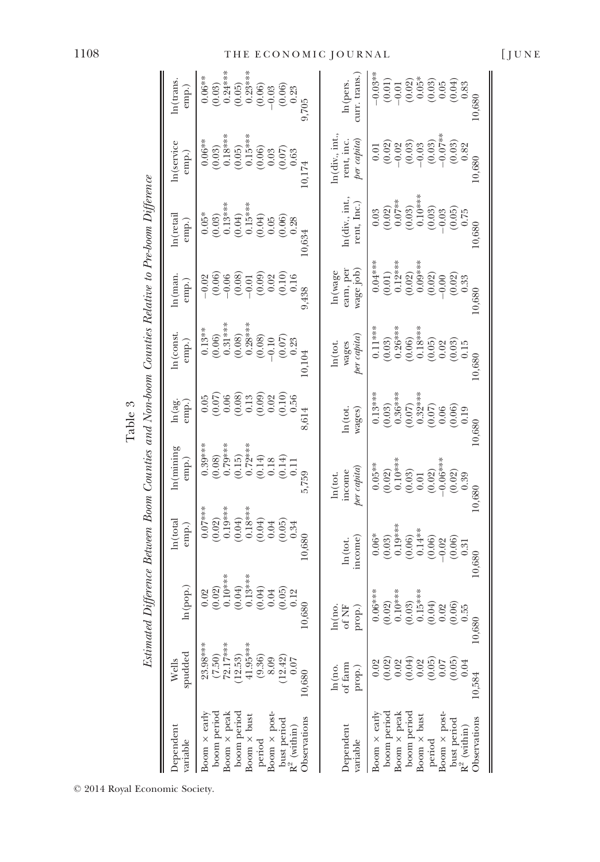|                                                                                                  | ln(trans<br>emp.)         | $\begin{array}{c} 0.06^{***} \\ 0.06^{***} \\ (0.03) \\ 0.24^{***} \\ (0.05) \\ (0.05) \\ (0.06) \\ (0.00) \\ (0.00) \\ (0.00) \\ (0.00) \\ (0.01) \\ (0.01) \\ (0.01) \\ (0.02) \\ (0.01) \\ (0.02) \\ (0.03) \\ (0.01) \\ (0.02) \\ (0.03) \\ (0.03) \\ (0.01) \\ (0.01) \\ (0.01) \\ (0.01) \\ (0.03) \\ (0.03) \\ (0.03) \\ (0.0$<br>9,705 | curr. trans.<br>In(pers                                                     | $\begin{array}{r} \left( \begin{array}{c} 0.03\ \pm\ 0.01\ 0.01\ 0.02\ 0.000\ 0.000\ 0.000\ 0.000\ 0.000\ 0.000\ 0.000\ 0.000\ 0.000\ 0.000\ 0.000\ 0.000\ 0.000\ 0.000\ 0.000\ 0.000\ 0.000\ 0.000\ 0.000\ 0.000\ 0.000\ 0.000\ 0.000\ 0.000\ 0.000\ $                                                                 |
|--------------------------------------------------------------------------------------------------|---------------------------|------------------------------------------------------------------------------------------------------------------------------------------------------------------------------------------------------------------------------------------------------------------------------------------------------------------------------------------------|-----------------------------------------------------------------------------|-------------------------------------------------------------------------------------------------------------------------------------------------------------------------------------------------------------------------------------------------------------------------------------------------------------------------|
|                                                                                                  | $ln(s$ ervice<br>emp.)    | $\begin{array}{c} (0.03)\\0.18^{***}\\ 0.18^{***}\\ 0.05)\\ 0.05)\\ 0.06\\ 0.03\\ 0.03\\ 0.63 \end{array}$<br>$0.06***$                                                                                                                                                                                                                        | ln(div., int.,<br>per capita<br>rent, inc                                   | $\begin{array}{l} 0.01 \\ 0.02 \\ 0.03 \\ 0.03 \\ 0.03 \\ 0.03 \\ 0.03 \\ 0.03 \\ 0.03 \\ 0.03 \\ 0.03 \\ 0.03 \\ 0.03 \\ 0.03 \\ 0.03 \\ 0.03 \\ 0.03 \\ 0.03 \\ 0.03 \\ 0.03 \\ 0.03 \\ 0.03 \\ 0.03 \\ 0.03 \\ 0.03 \\ 0.03 \\ 0.03 \\ 0.03 \\ 0.03 \\ 0.03 \\ 0.03 \\ 0.03 \\ 0.03 \\ 0.03 \\ 0.03 \\ 0.$<br>10,680 |
|                                                                                                  | ln (retai<br>emp.         | $\begin{array}{c} 0.05* \\ (0.03) \\ (0.03) \\ (0.13*** \\ (0.04) \\ (0.05) \\ (0.05) \\ (0.05) \\ (0.06) \\ (0.03) \\ \end{array}$                                                                                                                                                                                                            | $ln(\text{div.}, \text{int.})$<br>rent, Inc.                                | $\begin{array}{l} 0.03 \\ 0.02) \\ 0.02) \\ 0.07^{***} \\ 0.03 \\ 0.03 \\ 0.03 \\ 0.03 \\ 0.05 \\ 0.05 \\ 0.05 \\ 0.05 \\ 0.05 \\ 0.05 \\ 0.05 \\ 0.05 \\ 0.05 \\ 0.03 \\ 0.03 \\ 0.03 \\ 0.03 \\ 0.03 \\ 0.03 \\ 0.03 \\ 0.03 \\ 0.03 \\ 0.03 \\ 0.03 \\ 0.03 \\ 0.03 \\ 0.03 \\ 0.03 \\ 0.03 \\ 0.03 \\ 0.0$          |
|                                                                                                  | $\ln(\text{man})$<br>emp. | $-0.02$<br>$(0.06)$<br>$-0.06$<br>$(0.08)$<br>$-0.01$<br>$(0.09)$<br>$\begin{array}{c} 0.02 \\ 0.10 \\ 0.16 \end{array}$<br>9,438                                                                                                                                                                                                              | wage job)<br>earn, pei<br>ln (wage                                          | $\begin{array}{c} 0.04**\\ 0.01)\\ (0.01)\\ (0.02)\\ (0.02)\\ (0.03)\\ (0.00)\\ (0.00)\\ (0.01)\\ (0.02)\\ (0.03)\\ (0.03)\\ (0.33)\\ \end{array}$<br>10,680                                                                                                                                                            |
|                                                                                                  | n (cons)<br>emp.          | $\begin{array}{c} 0.13**\\ 0.66)\\ 0.06)\\ 0.31***\\ 0.08\\ 0.08\\ 0.08\\ 0.00\\ 0.00\\ 0.00\\ 0.00\\ 0.00\\ 0.01\\ 0\\ 0.23 \end{array}$                                                                                                                                                                                                      | $per\; capita)$<br>wages<br>ln(tot                                          | $\begin{array}{c} 0.11**\\ 0.03\\ 0.26***\\ 0.06\\ 0.06\\ 0.05\\ 0.005\\ 0.02\\ 0.03\\ 0.03\\ 0.15 \end{array}$<br>10,680                                                                                                                                                                                               |
|                                                                                                  | ln(ag)<br>emp.)           | $\begin{array}{l} 0.05 \\ 0.07 \\ 0.06 \\ 0.07 \\ 0.08 \\ 0.09 \\ 0.09 \\ 0.00 \\ 0.00 \\ 0.00 \\ 0.00 \\ 0.00 \\ 0.00 \\ 0.00 \\ 0.00 \\ 0.00 \\ 0.00 \\ 0.00 \\ 0.00 \\ 0.00 \\ 0.00 \\ 0.00 \\ 0.00 \\ 0.00 \\ 0.00 \\ 0.00 \\ 0.00 \\ 0.00 \\ 0.00 \\ 0.00 \\ 0.00 \\ 0.00 \\ 0.00 \\ 0.00 \\ 0.00 \\ 0.$<br>8,614                         | wages)<br>ln(tot                                                            | $\begin{array}{r} 0.13**\\ (0.03)\\ (0.05)\\ (0.05)\\ (0.07)\\ (0.07)\\ (0.007)\\ (0.006)\\ (0.06)\\ (0.006)\\ (0.019)\\ \end{array}$                                                                                                                                                                                   |
|                                                                                                  | ln (mining<br>emp.        | 5,759                                                                                                                                                                                                                                                                                                                                          | per capita<br>income<br>ln (tot.                                            | $\begin{array}{r} 0.05^{***} \\ 0.02) \\ 0.10^{***} \\ 0.10^{***} \\ 0.03) \\ 0.01 \\ 0.01 \\ 0.02) \\ 0.03^{***} \\ 0.02 \\ 0.02 \\ 0.02 \\ 0.03 \\ 0.03 \\ \end{array}$<br>0.39<br>10,680                                                                                                                             |
| Estimated Difference Between Boom Counties and Non-boom Counties Relative to Pre-boom Difference | ln(tota<br>emp.)          | $\begin{array}{c} 0.07***\\ (0.02)\\ (0.19***\\ 0.19***\\ (0.04)\\ (0.04)\\ (0.04)\\ (0.04)\end{array}$<br>$0.05$<br>$0.05$<br>$0.34$<br>10.680                                                                                                                                                                                                | income<br>ln(tot                                                            | $0.06$ <sup>*</sup><br>$0.03$ <sup>*</sup><br>$0.06$<br>$0.06$<br>$0.06$<br>$0.06$<br>$0.06$<br>$0.06$<br>$0.06$<br>$0.06$<br>$0.06$<br>$0.06$<br>$0.06$<br>$0.06$<br>$0.06$<br>$0.06$<br>10,680                                                                                                                        |
|                                                                                                  | ln (pop.)                 | $\begin{array}{c} 0.02 \\ (0.02) \\ (0.10^{***} \\ (0.04) \\ (0.04) \\ (0.04) \\ (0.04) \\ (0.04) \end{array}$<br>$0.05$<br>$0.05$<br>$0.12$<br>0,680                                                                                                                                                                                          | $\begin{array}{c} \hbox{ln(no,}\\ \hbox{of NF}\\ \hbox{prop.}) \end{array}$ | $0.06***$<br>(0.02)<br>0.10***<br>$(0.03)$<br>0.15***<br>$\begin{array}{c} (0.04) \\ 0.02 \\ 0.02 \\ (0.06) \\ 0.55 \\ 10,680 \end{array}$                                                                                                                                                                              |
|                                                                                                  | spudded<br>Wells          | $(7.50)$<br>72.17***<br>$23.98***$<br>41.95***<br>(12.53)<br>(9.36)<br>(12.42)<br>8.09<br>0.07<br>0.680                                                                                                                                                                                                                                        | of farm<br>ln(no.<br>prop.)                                                 | $\begin{array}{c} 0.02 \\ 0.02 \\ 0.04 \\ 0.05 \\ 0.05 \\ 0.05 \\ 0.07 \end{array}$<br>(0.05)<br>0.02<br>0.04<br>10,584                                                                                                                                                                                                 |
|                                                                                                  | Dependent<br>ranable      | Boom × post-<br>boom period<br>Boom $\times$ early<br>boom period<br>Boom × peak<br>Boom $\times$ bust<br>Observations<br>bust period<br>$R^2$ (within)<br>$\rm period$                                                                                                                                                                        | Dependent<br>variable                                                       | boom period<br>Boom $\times$ early<br>Boom × peak<br>boom period<br>Boom $\times$ post<br>Boom $\times$ bust<br>Observations<br>bust period<br>$R^2$ (within)<br>period                                                                                                                                                 |

Table 3

© 2014 Royal Economic Society.

## 1108 THE ECONOMIC JOURNAL [JUNE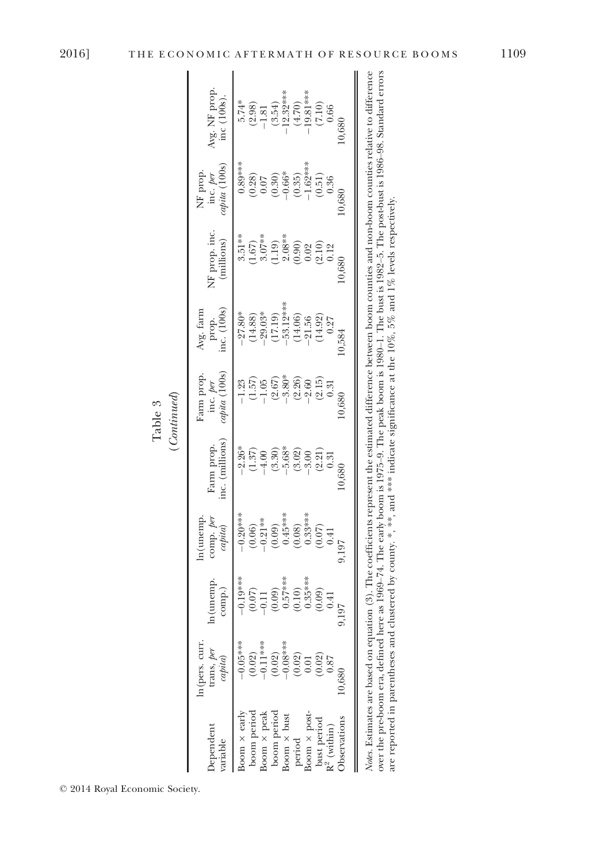|             | Avg. NF prop.<br>inc (100s).<br>5.74*<br>(2.98)<br>(2.98)<br>-1.81<br>(3.54)<br>-32****<br>-30.00<br>-0.66<br>-0.66<br>0,680                                                                                                                                                                                                                                                                                                                                                                                                                       |
|-------------|----------------------------------------------------------------------------------------------------------------------------------------------------------------------------------------------------------------------------------------------------------------------------------------------------------------------------------------------------------------------------------------------------------------------------------------------------------------------------------------------------------------------------------------------------|
|             | $0.89***$<br>$(0.35)$<br>$-1.62***$<br>$(0.51)$<br>$0.36$<br>NF prop.<br>inc. per<br>capita (100s)<br>$\begin{array}{c} (0.28) \\ 0.07 \\ 0.30) \\ (0.30) \\ -0.66^{*} \end{array}$<br>0,680                                                                                                                                                                                                                                                                                                                                                       |
|             | $\begin{array}{l} \mbox{ \begin{tabular}{l} $3,51$}\\ $3,57$\\ $(-67)$\\ $0,07$\\ $1,09$\\ $1,09$\\ $0,000$\\ $0,000$\\ $0,000$\\ $0,000$\\ $0,000$\\ $0,000$\\ $0,000$\\ $0,000$\\ $0,000$\\ $0,000$\\ $0,000$\\ $0,000$\\ $0,000$\\ $0,000$\\ $0,000$\\ $0,000$\\ $0,000$\\ $0,000$\\ $0,000$\\ $0,000$\\$<br>NF prop. inc<br>(millions)<br>0,680                                                                                                                                                                                                |
|             | $\begin{array}{l} -27.80^{\circ\ast} \\ -27.88) \\ \hline (14.89) \\ -29.03^{\circ\ast} \\ -29.12^{\circ\ast} \\ -1.19) \\ \hline (17.19) \\ -53.12^{\circ\ast} \\ -21.56 \\ \end{array}$<br>prop.<br>inc. (100s)<br>Avg. farn<br>0,584                                                                                                                                                                                                                                                                                                            |
| (Continued) | inc. per<br>capita (100s)<br>Prop<br>$\begin{array}{r} -1.23 \\ -1.57 \\ -1.05 \\ -1.05 \\ -2.80 \\ -3.80 \\ -2.0 \\ 0.31 \\ -2.0 \\ 0.31 \\ \end{array}$<br>0,680                                                                                                                                                                                                                                                                                                                                                                                 |
|             | inc. (millions<br>Farm prop<br>$\begin{array}{l} \left( \begin{array}{c} 2 \\ 4 \\ 3 \\ 7 \end{array} \right) \end{array} \begin{array}{l} \left( \begin{array}{c} 2 \\ 1 \\ 2 \\ 3 \end{array} \right) \end{array} \begin{array}{l} \left( \begin{array}{c} 2 \\ 1 \\ 2 \\ 3 \end{array} \right) \end{array} \begin{array}{l} \left( \begin{array}{c} 2 \\ 1 \\ 2 \\ 3 \end{array} \right) \end{array} \begin{array}{l} \left( \begin{array}{c} 2 \\ 1 \\ 2 \\ 3 \end{array} \right) \end{array} \begin{array}{l} \left( \begin{array}{$<br>0,680 |
|             | $\begin{array}{r} -0.20**\\ -0.20**\\ (0.06)\\ -0.21**\\ (0.09)\\ (0.08)\\ (0.08)\\ (0.07)\\ (0.007)\\ (0.007)\\ (0.010)\\ (0.010)\\ (0.010)\\ (0.011)\\ (0.011)\\ (0.011)\\ (0.011)\\ (0.012)\\ (0.012)\\ (0.013)\\ (0.011)\\ (0.012)\\ (0.013)\\ (0.013)\\ (0.014)\\ (0.011)\\ (0.012)\\ (0.01$<br>ln(unemp<br>comp.~per~correlator<br>0.197                                                                                                                                                                                                     |
|             | $\begin{array}{r} -0.19**\\ -0.19**\\ (0.07)\\ -0.11\\ (0.09)\\ 0.57**\\ (0.10)\\ (0.03)\\ (0.00)\\ (0.00)\\ 0.000\\ (0.00)\\ 0.01 \end{array}$<br>$n$ (unemp<br>comp.<br>197                                                                                                                                                                                                                                                                                                                                                                      |
|             | n(pers. curr.<br>$-0.05$ ***<br>$-0.02$ )<br>$-0.11$ ***<br>$-0.02$ )<br>$-0.08$ ***<br>$-0.08$<br>$-0.02$ )<br>$-0.01$<br>$\begin{array}{cc}\text{trans}, \, per\\ \text{capita)}\end{array}$<br>$\frac{(0.02)}{0.87}$<br>0.680                                                                                                                                                                                                                                                                                                                   |
|             | $\text{oom} \times \text{early}$<br>boom period<br>boom period<br>Boom $\times$ bust period period boom $\times$ post-bust period bust period $\mathbb{R}^2$ (within)<br>soom × peak<br><b>bservations</b><br>bependent<br>uriable                                                                                                                                                                                                                                                                                                                 |

Table 3

© 2014 Royal Economic Society.

Notes. Estimates are based on equation (3). The coefficients represent the estimated difference between boom counties and non-boom counties relative to difference over the pre-boom era, defined here as 1969–74. The early boom is 1975–9. The peak boom is 1980–1. The bust is 1982–5. The post-bust is 1986–98. Standard errors<br>are reported in parentheses and clustered by county. \*, \*\*, a Notes. Estimates are based on equation (3). The coefficients represent the estimated difference between boom counties and non-boom counties relative to difference over the pre-boom era, defined here as 1969–74. The early boom is 1975–9. The peak boom is 1980–1. The bust is 1982–5. The post-bust is 1986–98. Standard errors are reported in parentheses and clustered by county. \*, \*\*\*, and \*\*\* indicate significance at the  $10\%$ , 5% and  $1\%$  levels respectively.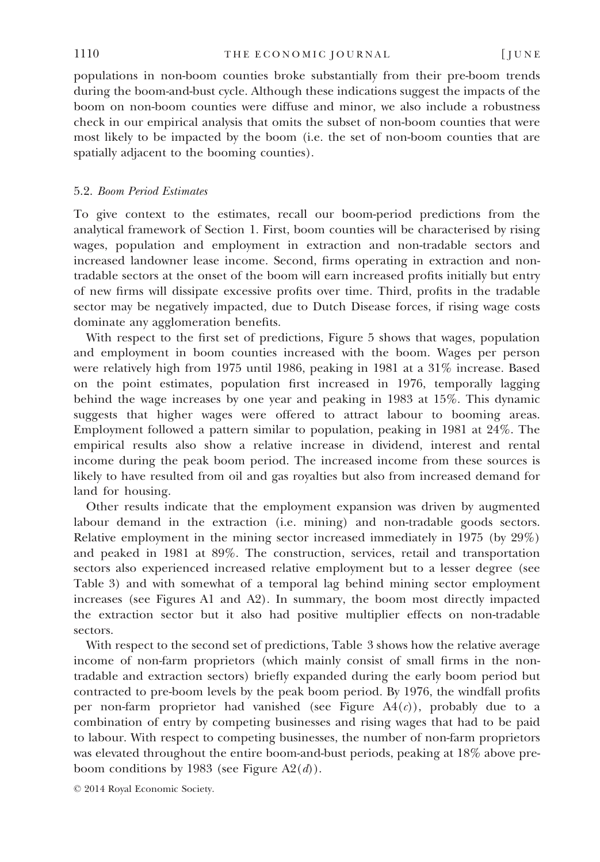populations in non-boom counties broke substantially from their pre-boom trends during the boom-and-bust cycle. Although these indications suggest the impacts of the boom on non-boom counties were diffuse and minor, we also include a robustness check in our empirical analysis that omits the subset of non-boom counties that were most likely to be impacted by the boom (i.e. the set of non-boom counties that are spatially adjacent to the booming counties).

## 5.2. Boom Period Estimates

To give context to the estimates, recall our boom-period predictions from the analytical framework of Section 1. First, boom counties will be characterised by rising wages, population and employment in extraction and non-tradable sectors and increased landowner lease income. Second, firms operating in extraction and nontradable sectors at the onset of the boom will earn increased profits initially but entry of new firms will dissipate excessive profits over time. Third, profits in the tradable sector may be negatively impacted, due to Dutch Disease forces, if rising wage costs dominate any agglomeration benefits.

With respect to the first set of predictions, Figure 5 shows that wages, population and employment in boom counties increased with the boom. Wages per person were relatively high from 1975 until 1986, peaking in 1981 at a 31% increase. Based on the point estimates, population first increased in 1976, temporally lagging behind the wage increases by one year and peaking in 1983 at 15%. This dynamic suggests that higher wages were offered to attract labour to booming areas. Employment followed a pattern similar to population, peaking in 1981 at 24%. The empirical results also show a relative increase in dividend, interest and rental income during the peak boom period. The increased income from these sources is likely to have resulted from oil and gas royalties but also from increased demand for land for housing.

Other results indicate that the employment expansion was driven by augmented labour demand in the extraction (i.e. mining) and non-tradable goods sectors. Relative employment in the mining sector increased immediately in 1975 (by 29%) and peaked in 1981 at 89%. The construction, services, retail and transportation sectors also experienced increased relative employment but to a lesser degree (see Table 3) and with somewhat of a temporal lag behind mining sector employment increases (see Figures A1 and A2). In summary, the boom most directly impacted the extraction sector but it also had positive multiplier effects on non-tradable sectors.

With respect to the second set of predictions, Table 3 shows how the relative average income of non-farm proprietors (which mainly consist of small firms in the nontradable and extraction sectors) briefly expanded during the early boom period but contracted to pre-boom levels by the peak boom period. By 1976, the windfall profits per non-farm proprietor had vanished (see Figure  $A4(c)$ ), probably due to a combination of entry by competing businesses and rising wages that had to be paid to labour. With respect to competing businesses, the number of non-farm proprietors was elevated throughout the entire boom-and-bust periods, peaking at 18% above preboom conditions by 1983 (see Figure  $A2(d)$ ).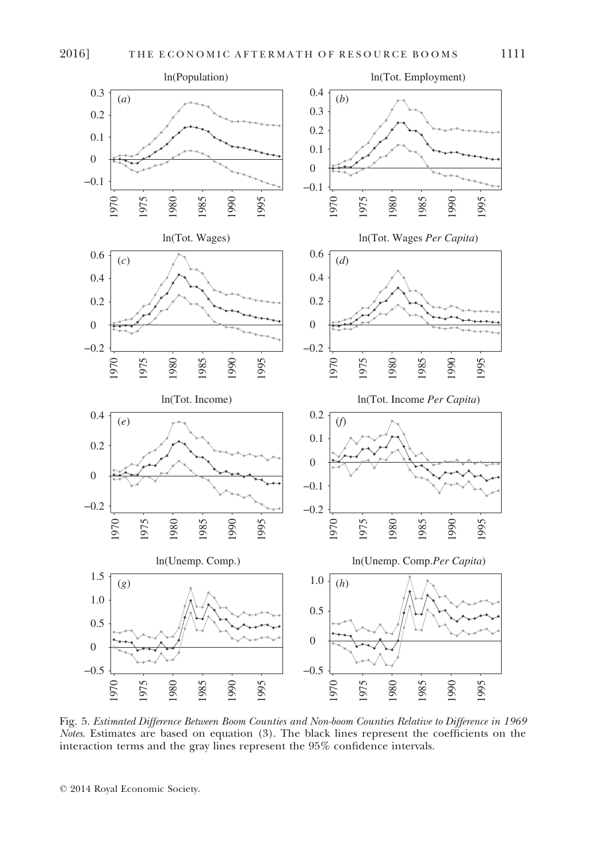

Fig. 5. Estimated Difference Between Boom Counties and Non-boom Counties Relative to Difference in 1969 Notes. Estimates are based on equation (3). The black lines represent the coefficients on the interaction terms and the gray lines represent the 95% confidence intervals.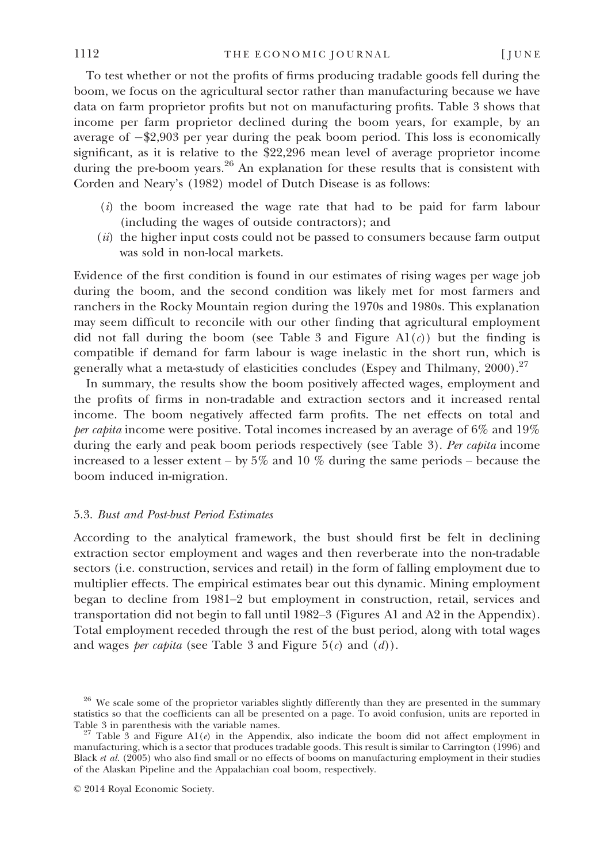To test whether or not the profits of firms producing tradable goods fell during the boom, we focus on the agricultural sector rather than manufacturing because we have data on farm proprietor profits but not on manufacturing profits. Table 3 shows that income per farm proprietor declined during the boom years, for example, by an average of  $-\frac{2}{3}$ ,903 per year during the peak boom period. This loss is economically significant, as it is relative to the \$22,296 mean level of average proprietor income during the pre-boom years.<sup>26</sup> An explanation for these results that is consistent with Corden and Neary's (1982) model of Dutch Disease is as follows:

- $(i)$  the boom increased the wage rate that had to be paid for farm labour (including the wages of outside contractors); and
- (*ii*) the higher input costs could not be passed to consumers because farm output was sold in non-local markets.

Evidence of the first condition is found in our estimates of rising wages per wage job during the boom, and the second condition was likely met for most farmers and ranchers in the Rocky Mountain region during the 1970s and 1980s. This explanation may seem difficult to reconcile with our other finding that agricultural employment did not fall during the boom (see Table 3 and Figure  $A1(c)$ ) but the finding is compatible if demand for farm labour is wage inelastic in the short run, which is generally what a meta-study of elasticities concludes (Espey and Thilmany,  $2000$ ).<sup>27</sup>

In summary, the results show the boom positively affected wages, employment and the profits of firms in non-tradable and extraction sectors and it increased rental income. The boom negatively affected farm profits. The net effects on total and per capita income were positive. Total incomes increased by an average of 6% and 19% during the early and peak boom periods respectively (see Table 3). Per capita income increased to a lesser extent – by  $5\%$  and 10  $\%$  during the same periods – because the boom induced in-migration.

#### 5.3. Bust and Post-bust Period Estimates

According to the analytical framework, the bust should first be felt in declining extraction sector employment and wages and then reverberate into the non-tradable sectors (i.e. construction, services and retail) in the form of falling employment due to multiplier effects. The empirical estimates bear out this dynamic. Mining employment began to decline from 1981–2 but employment in construction, retail, services and transportation did not begin to fall until 1982–3 (Figures A1 and A2 in the Appendix). Total employment receded through the rest of the bust period, along with total wages and wages *per capita* (see Table 3 and Figure  $5(c)$  and  $(d)$ ).

<sup>&</sup>lt;sup>26</sup> We scale some of the proprietor variables slightly differently than they are presented in the summary statistics so that the coefficients can all be presented on a page. To avoid confusion, units are reported in Table 3 in parenthesis with the variable names.

<sup>&</sup>lt;sup>27</sup> Table 3 and Figure A1(e) in the Appendix, also indicate the boom did not affect employment in manufacturing, which is a sector that produces tradable goods. This result is similar to Carrington (1996) and Black et al. (2005) who also find small or no effects of booms on manufacturing employment in their studies of the Alaskan Pipeline and the Appalachian coal boom, respectively.

<sup>©</sup> 2014 Royal Economic Society.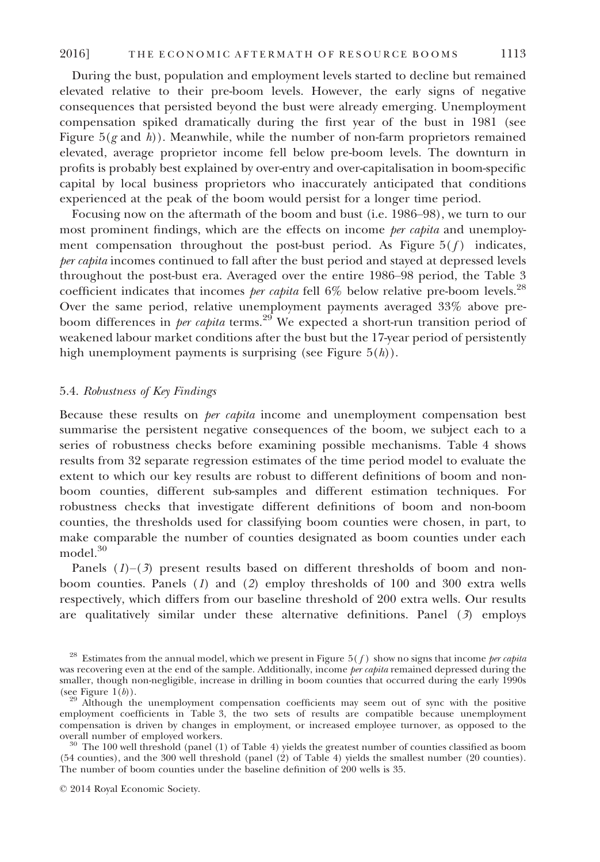During the bust, population and employment levels started to decline but remained elevated relative to their pre-boom levels. However, the early signs of negative consequences that persisted beyond the bust were already emerging. Unemployment compensation spiked dramatically during the first year of the bust in 1981 (see Figure  $5(g \text{ and } h)$ ). Meanwhile, while the number of non-farm proprietors remained elevated, average proprietor income fell below pre-boom levels. The downturn in profits is probably best explained by over-entry and over-capitalisation in boom-specific capital by local business proprietors who inaccurately anticipated that conditions experienced at the peak of the boom would persist for a longer time period.

Focusing now on the aftermath of the boom and bust (i.e. 1986–98), we turn to our most prominent findings, which are the effects on income *per capita* and unemployment compensation throughout the post-bust period. As Figure  $5(f)$  indicates, per capita incomes continued to fall after the bust period and stayed at depressed levels throughout the post-bust era. Averaged over the entire 1986–98 period, the Table 3 coefficient indicates that incomes *per capita* fell  $6\%$  below relative pre-boom levels.<sup>28</sup> Over the same period, relative unemployment payments averaged 33% above preboom differences in *per capita* terms.<sup>29</sup> We expected a short-run transition period of weakened labour market conditions after the bust but the 17-year period of persistently high unemployment payments is surprising (see Figure  $5(h)$ ).

## 5.4. Robustness of Key Findings

Because these results on per capita income and unemployment compensation best summarise the persistent negative consequences of the boom, we subject each to a series of robustness checks before examining possible mechanisms. Table 4 shows results from 32 separate regression estimates of the time period model to evaluate the extent to which our key results are robust to different definitions of boom and nonboom counties, different sub-samples and different estimation techniques. For robustness checks that investigate different definitions of boom and non-boom counties, the thresholds used for classifying boom counties were chosen, in part, to make comparable the number of counties designated as boom counties under each model.<sup>30</sup>

Panels  $(1)$ – $(3)$  present results based on different thresholds of boom and nonboom counties. Panels  $(1)$  and  $(2)$  employ thresholds of 100 and 300 extra wells respectively, which differs from our baseline threshold of 200 extra wells. Our results are qualitatively similar under these alternative definitions. Panel  $(3)$  employs

<sup>&</sup>lt;sup>28</sup> Estimates from the annual model, which we present in Figure  $5(f)$  show no signs that income *per capita* was recovering even at the end of the sample. Additionally, income *per capita* remained depressed during the smaller, though non-negligible, increase in drilling in boom counties that occurred during the early 1990s (see Figure 1 $(b)$ ).

<sup>&</sup>lt;sup>99</sup> Although the unemployment compensation coefficients may seem out of sync with the positive employment coefficients in Table 3, the two sets of results are compatible because unemployment compensation is driven by changes in employment, or increased employee turnover, as opposed to the

 $^{\circ}$  The 100 well threshold (panel (1) of Table 4) yields the greatest number of counties classified as boom (54 counties), and the 300 well threshold (panel (2) of Table 4) yields the smallest number (20 counties). The number of boom counties under the baseline definition of 200 wells is 35.

<sup>©</sup> 2014 Royal Economic Society.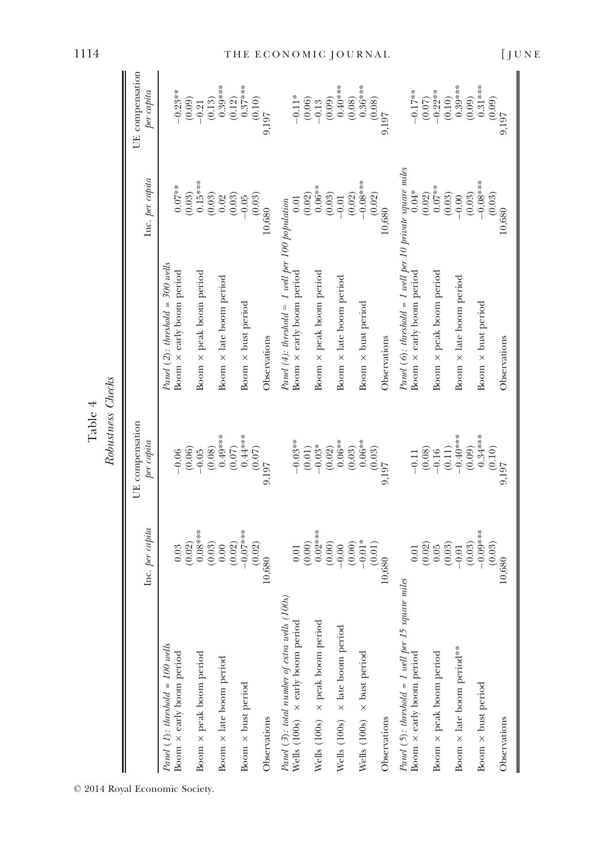|                                                                                      |                             | Table 4                       |                                                                                       |                               |                               |
|--------------------------------------------------------------------------------------|-----------------------------|-------------------------------|---------------------------------------------------------------------------------------|-------------------------------|-------------------------------|
|                                                                                      |                             | Robustness Checks             |                                                                                       |                               |                               |
|                                                                                      | Inc. per capita             | UE compensation<br>per capita |                                                                                       | Inc. per capita               | UE compensation<br>per capita |
| Panel $(I)$ : threshold = 100 wells<br>Boom x early boom period                      | (0.02)<br>0.03              | (0.06)<br>$-0.06$             | Panel $(2)$ : threshold = 300 wells<br>Boom x early boom period                       | $0.07***$                     | $-0.23**$<br>(0.09)           |
| Boom $\times$ peak boom period                                                       | $0.08***$<br>(0.03)         | (0.08)<br>$-0.05$             | Boom x peak boom period                                                               | $(0.03)$<br>0.15***<br>(0.03) | (0.13)<br>$-0.21$             |
| Boom $\times$ late boom period                                                       | (0.02)<br>0.00              | $0.49***$<br>(0.07)           | Boom x late boom period                                                               | (0.03)<br>0.02                | $0.39***$<br>(0.12)           |
| Boom x bust period                                                                   | $-0.07***$                  | $0.44***$<br>(0.07)           | Boom $\times$ bust period                                                             | (0.03)<br>$-0.05$             | $0.37***$                     |
| Observations                                                                         | (0.02)<br>10,680            | 9,197                         | Observations                                                                          | 10,680                        | (0.10)<br>9,197               |
| 100s<br>Panel (3): total number of extra wells (<br>Wells (100s) × early boom period | 0.01                        | $-0.03**$                     | Panel $(4)$ : threshold = 1 well per 100 population<br>Boom x early boom period       | 0.01                          | $-0.11*$                      |
| Wells $(100s) \times$ peak boom period                                               | $0.02***$<br>(0.00)         | $-0.03\mathrm{*}$<br>(0.01)   | Boom × peak boom period                                                               | $0.06**$<br>(0.02)            | (0.06)<br>$-0.13$             |
| Wells $(100s) \times$ late boom period                                               | (0.00)<br>(0.00)<br>$-0.00$ | $0.06**$<br>(0.02)<br>(0.03)  | Boom x late boom period                                                               | (0.03)<br>(0.02)<br>$-0.01$   | $0.40***$<br>(0.09)<br>(0.08) |
| Wells (100s) $\times$ bust period                                                    | $-0.01*$                    | $0.06**$                      | Boom $\times$ bust period                                                             | $-0.08***$                    | $0.36***$                     |
| Observations                                                                         | (0.01)<br>10,680            | (0.03)<br>9,197               | Observations                                                                          | (0.02)<br>10,680              | $^{16}$<br>(9.08)<br>(80.0)   |
| Panel $(5)$ : threshold = 1 well per 15 square miles<br>Boom x early boom period     | (0.02)<br>0.01              | (0.08)<br>$-0.11$             | Panel (6): threshold = 1 well per 10 private square miles<br>Boom x early boom period | $0.04*$<br>(0.02)             | $-0.17**$<br>$(0.07)$         |
| Boom x peak boom period                                                              | (0.03)<br>0.05              | (0.11)<br>$-0.16$             | Boom x peak boom period                                                               | $0.07***$<br>(0.03)           | $-0.22**$<br>(0.10)           |
| Boom x late boom period***                                                           | (0.03)<br>$-0.01$           | $0.40***$<br>(0.09)           | Boom x late boom period                                                               | (0.03)<br>$-0.00$             | $0.39***$<br>(0.09)           |
| Boom $\times$ bust period                                                            | $-0.09***$                  | $0.34***$                     | Boom $\times$ bust period                                                             | $-0.08***$                    | $0.31***$                     |
| Observations                                                                         | (0.03)<br>10,680            | (0.10)<br>9.197               | Observations                                                                          | (0.03)<br>10,680              | (0.09)<br>9,197               |

1114 THE ECONOMIC JOURNAL [JUNE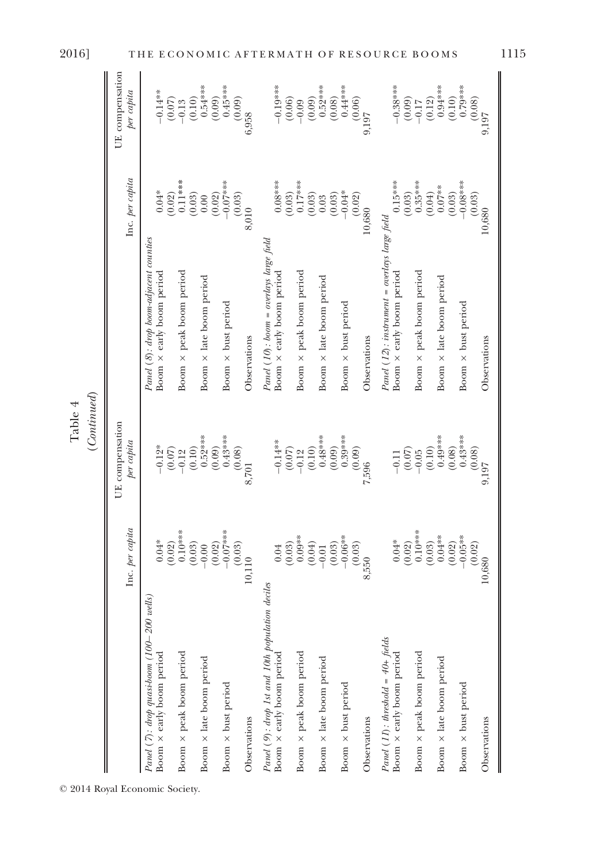|                                                                             |                              | (Continued)                   |                                                                           |                               |                               |
|-----------------------------------------------------------------------------|------------------------------|-------------------------------|---------------------------------------------------------------------------|-------------------------------|-------------------------------|
|                                                                             | Inc. per capita              | UE compensation<br>per capita |                                                                           | Inc. per capita               | UE compensation<br>per capita |
| Panel (7): drop quasi-boom (100–200 wells)<br>Boom x early boom period      | $0.04*$<br>(0.02)            | $-0.12*$<br>(0.07)            | Panel (8): drop boom-adjacent counties<br>Boom x early boom period        | $0.04*$<br>(0.02)             | $-0.14**$<br>(0.07)           |
| Boom $\times$ peak boom period                                              | $0.10***$<br>(0.03)          | (0.10)<br>$-0.12$             | Boom x peak boom period                                                   | $0.11***$<br>(0.03)           | (0.10)<br>$-0.13$             |
| Boom x late boom period                                                     | (0.02)<br>$-0.00$            | $0.52***$<br>(0.09)           | Boom x late boom period                                                   | (0.02)<br>0.00                | $0.54***$<br>(0.09)           |
| Boom x bust period                                                          | $-0.07***$<br>(0.03)         | $0.43***$<br>(0.08)           | Boom x bust period                                                        | $-0.07$ ***<br>(0.03)         | $0.45***$<br>(0.09)           |
| Observations                                                                | 10,110                       | 8,701                         | Observations                                                              | 8,010                         | 6,958                         |
| Panel (9): drop 1st and 10th population deciles<br>Boom × early boom period | 0.04                         | $-0.14**$<br>(0.07)           | Panel (10): boom = overlays large field<br>Boom x early boom period       | $0.08***$<br>(0.03)           | $-0.19***$<br>(0.06)          |
| Boom x peak boom period                                                     | $(0.03)$<br>0.09**<br>(0.04) | (0.10)<br>$-0.12$             | Boom × peak boom period                                                   | $0.17***$<br>(0.03)           | (0.09)<br>$-0.09$             |
| Boom x late boom period                                                     | (0.03)<br>$-0.01$            | $0.48***$<br>(0.09)           | Boom x late boom period                                                   | (0.03)<br>$0.03\,$            | $0.52***$<br>(0.08)           |
| Boom $\times$ bust period                                                   | $-0.06**$<br>(0.03)          | $0.39***$<br>(0.09)           | Boom x bust period                                                        | $-0.04*$<br>(0.02)            | $0.44***$<br>(0.06)           |
| Observations                                                                | 8,550                        | 7,596                         | Observations                                                              | 10,680                        | 9,197                         |
| Panel $(11)$ : threshold = 40+ fields<br>Boom x early boom period           | $0.04*$<br>(0.02)            | (0.07)<br>$-0.11$             | Panel (12): instrument = overlays large field<br>Boom × early boom period | $0.15***$                     | $-0.38***$<br>(0.09)          |
| Boom × peak boom period                                                     | $0.10***$<br>(0.03)          | (0.10)<br>$-0.05$             | Boom × peak boom period                                                   | $(0.03)$<br>0.35***<br>(0.04) | (0.12)<br>$-0.17$             |
| Boom x late boom period                                                     | $0.04***$<br>(0.02)          | $0.49***$<br>(0.08)           | Boom $\times$ late boom period                                            | $0.07***$<br>(0.03)           | $0.94***$<br>(0.10)           |
| Boom x bust period                                                          | $-0.05**$<br>(0.02)          | $0.43***$                     | Boom $\times$ bust period                                                 | $-0.08***$<br>(0.03)          | $0.79***$<br>(0.08)           |
| Observations                                                                | 10,680                       | $(0.08)$<br>9,197             | Observations                                                              | 10,680                        | 9,197                         |

© 2014 Royal Economic Society.

Table 4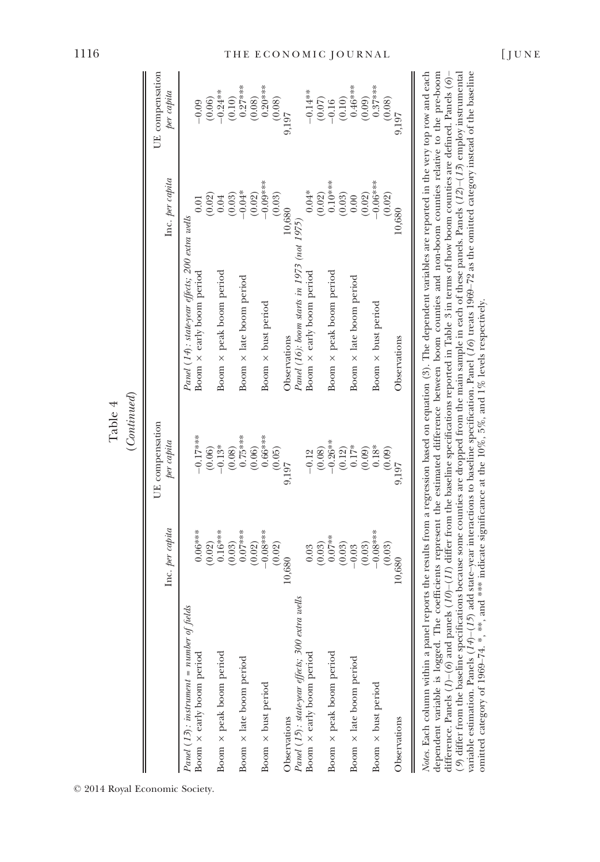|                                                     | Inc. per capita     | UE compensation<br>per capita |                                                 | Inc. per capita    | UE compensation<br>per capita                  |
|-----------------------------------------------------|---------------------|-------------------------------|-------------------------------------------------|--------------------|------------------------------------------------|
| Panel $(13)$ : instrument = number of fields        |                     |                               | Panel (14): state-year effects; 200 extra wells |                    |                                                |
| Boom x early boom period                            | $0.06***$<br>(0.02) | $-0.17***$<br>(0.06)          | Boom x early boom period                        |                    | $-0.09$                                        |
| Boom × peak boom period                             | $0.16***$           | $-0.13*$                      | Boom × peak boom period                         | $^{(0.02)}_{0.04}$ | $(0.06)$<br>$-0.24***$                         |
| Boom x late boom period                             | $0.07***$<br>(0.03) | $0.75***$<br>(0.08)           | Boom $\times$ late boom period                  | $-0.04*$<br>(0.03) | $0.27***$<br>(0.10)                            |
|                                                     | (0.02)              | (0.06)                        |                                                 | (0.02)             | (0.08)                                         |
| Boom x bust period                                  | $-0.08***$          | $0.66***$                     | Boom $\times$ bust period                       | $-0.00$            | $0.20***$                                      |
|                                                     | (0.02)              | (0.05)                        |                                                 | (0.03)             | (0.08)                                         |
| Observations                                        | 10,680              | 9,197                         | Observations                                    | 10.680             | 9,197                                          |
| a wells<br>Panel (15): state-year effects; 300 extr |                     |                               | Panel (16): boom starts in 1973 (not 1975)      |                    |                                                |
| Boom $\times$ early boom period                     | 0.03                | $-0.12$                       | Boom x early boom period                        | $0.04*$            | $-0.14**$                                      |
|                                                     | (0.03)              | (0.08)                        |                                                 | (0.02)             | $\begin{array}{c} (0.07) \\ -0.16 \end{array}$ |
| Boom x peak boom period                             | $0.07**$            | $-0.26**$                     | Boom x peak boom period                         | $0.10***$          |                                                |
|                                                     | (0.03)              | (0.12)                        |                                                 | (0.03)             | (0.10)                                         |
| Boom x late boom period                             | $-0.03$             | $0.17*$                       | Boom $\times$ late boom period                  | 0.00               | $0.46***$                                      |
|                                                     | (0.03)              | (0.09)                        |                                                 | (0.02)             | (0.09)                                         |
| Boom x bust period                                  | $-0.08***$          | $0.18*$                       | Boom $\times$ bust period                       | $-0.06***$         | $0.37***$                                      |
|                                                     | (0.03)              | (0.09)                        |                                                 | (0.02)             | (0.08)                                         |
| Observations                                        | 10,680              | 9,197                         | Observations                                    | 10,680             | 9,197                                          |

dependent variable is logged. The coefficients represent the estimated difference between boom counties and non-boom counties relative to the pre-boom difference. Panels (1)–(6) and panels (10)–(11) differ from the baseline specifications reported in Table 3 in terms of how boom counties are defined. Panels (6)– (9) differ from the baseline specifications because some counties are dropped from the main sample in each of these panels. Panels (12)–(13) employ instrumental variable estimation. Panels  $(14)-(15)$  add state–year interactions to baseline specification. Panel  $(16)$  treats  $1969-72$  as the omitted category instead of the baseline

dependent variable is logged. The coefficients represent the estimated difference between boom counties and non-boom counties relative to the pre-boom 9) differ from the baseline specifications because some counties are dropped from the main sample in each of these panels. Panels  $(12)-(13)$  employ instrumental variable estimation. Panels  $(14)$  (15) add state-year interactions to baseline specification. Panel (16) treats 1969-72 as the omitted category instead of the baseline difference. Panels (1)–(6) and panels (10)–(11) differ from the baseline specifications reported in Table 3 in terms of how boom counties are defined. Panels (6)–

omitted category of 1969–74. \*, \*\*, and \*\*\* indicate significance at the 10%, 5%, and 1% levels respectively.

omitted category of 1969-74. \*, \*\*, and \*\*\* indicate significance at the 10%, 5%, and 1% levels respectively.

Table 4 (Continued)

 $(Continued)$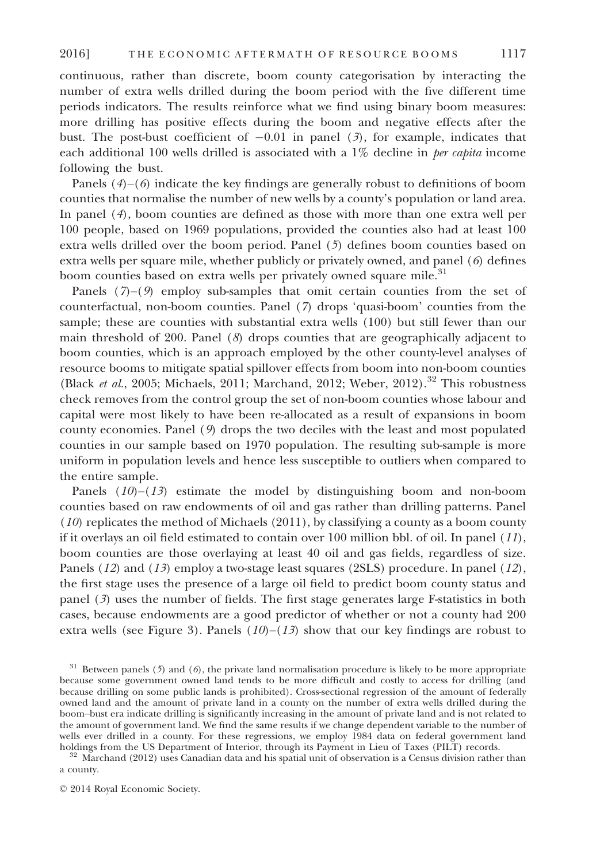continuous, rather than discrete, boom county categorisation by interacting the number of extra wells drilled during the boom period with the five different time periods indicators. The results reinforce what we find using binary boom measures: more drilling has positive effects during the boom and negative effects after the bust. The post-bust coefficient of  $-0.01$  in panel (3), for example, indicates that each additional 100 wells drilled is associated with a  $1\%$  decline in *per capita* income following the bust.

Panels  $(4)$ – $(6)$  indicate the key findings are generally robust to definitions of boom counties that normalise the number of new wells by a county's population or land area. In panel (4), boom counties are defined as those with more than one extra well per 100 people, based on 1969 populations, provided the counties also had at least 100 extra wells drilled over the boom period. Panel (5) defines boom counties based on extra wells per square mile, whether publicly or privately owned, and panel (6) defines boom counties based on extra wells per privately owned square mile.<sup>31</sup>

Panels  $(7)-(9)$  employ sub-samples that omit certain counties from the set of counterfactual, non-boom counties. Panel (7) drops 'quasi-boom' counties from the sample; these are counties with substantial extra wells (100) but still fewer than our main threshold of 200. Panel  $(8)$  drops counties that are geographically adjacent to boom counties, which is an approach employed by the other county-level analyses of resource booms to mitigate spatial spillover effects from boom into non-boom counties (Black et al., 2005; Michaels, 2011; Marchand, 2012; Weber, 2012).<sup>32</sup> This robustness check removes from the control group the set of non-boom counties whose labour and capital were most likely to have been re-allocated as a result of expansions in boom county economies. Panel (9) drops the two deciles with the least and most populated counties in our sample based on 1970 population. The resulting sub-sample is more uniform in population levels and hence less susceptible to outliers when compared to the entire sample.

Panels  $(10)$ – $(13)$  estimate the model by distinguishing boom and non-boom counties based on raw endowments of oil and gas rather than drilling patterns. Panel (10) replicates the method of Michaels (2011), by classifying a county as a boom county if it overlays an oil field estimated to contain over 100 million bbl. of oil. In panel  $(11)$ , boom counties are those overlaying at least 40 oil and gas fields, regardless of size. Panels (12) and (13) employ a two-stage least squares (2SLS) procedure. In panel (12), the first stage uses the presence of a large oil field to predict boom county status and panel (3) uses the number of fields. The first stage generates large F-statistics in both cases, because endowments are a good predictor of whether or not a county had 200 extra wells (see Figure 3). Panels  $(10)$ – $(13)$  show that our key findings are robust to

 $31$  Between panels (5) and (6), the private land normalisation procedure is likely to be more appropriate because some government owned land tends to be more difficult and costly to access for drilling (and because drilling on some public lands is prohibited). Cross-sectional regression of the amount of federally owned land and the amount of private land in a county on the number of extra wells drilled during the boom–bust era indicate drilling is significantly increasing in the amount of private land and is not related to the amount of government land. We find the same results if we change dependent variable to the number of wells ever drilled in a county. For these regressions, we employ 1984 data on federal government land<br>holdings from the US Department of Interior, through its Payment in Lieu of Taxes (PILT) records.

 $\frac{1}{32}$  Marchand (2012) uses Canadian data and his spatial unit of observation is a Census division rather than a county.

<sup>©</sup> 2014 Royal Economic Society.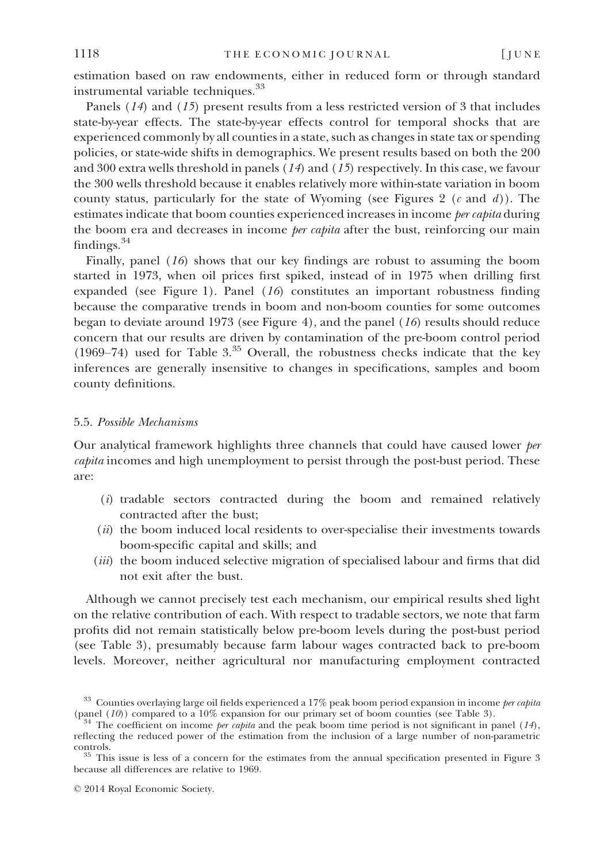estimation based on raw endowments, either in reduced form or through standard instrumental variable techniques.<sup>33</sup>

Panels (14) and (15) present results from a less restricted version of 3 that includes state-by-year effects. The state-by-year effects control for temporal shocks that are experienced commonly by all counties in a state, such as changes in state tax or spending policies, or state-wide shifts in demographics. We present results based on both the 200 and 300 extra wells threshold in panels  $(14)$  and  $(15)$  respectively. In this case, we favour the 300 wells threshold because it enables relatively more within-state variation in boom county status, particularly for the state of Wyoming (see Figures 2  $(c \text{ and } d)$ ). The estimates indicate that boom counties experienced increases in income *per capita* during the boom era and decreases in income *per capita* after the bust, reinforcing our main findings.<sup>34</sup>

Finally, panel (16) shows that our key findings are robust to assuming the boom started in 1973, when oil prices first spiked, instead of in 1975 when drilling first expanded (see Figure 1). Panel  $(16)$  constitutes an important robustness finding because the comparative trends in boom and non-boom counties for some outcomes began to deviate around 1973 (see Figure 4), and the panel (16) results should reduce concern that our results are driven by contamination of the pre-boom control period (1969–74) used for Table  $3^{35}$  Overall, the robustness checks indicate that the key inferences are generally insensitive to changes in specifications, samples and boom county definitions.

#### 5.5. Possible Mechanisms

Our analytical framework highlights three channels that could have caused lower per capita incomes and high unemployment to persist through the post-bust period. These are:

- (i) tradable sectors contracted during the boom and remained relatively contracted after the bust;
- $(ii)$  the boom induced local residents to over-specialise their investments towards boom-specific capital and skills; and
- (*iii*) the boom induced selective migration of specialised labour and firms that did not exit after the bust.

Although we cannot precisely test each mechanism, our empirical results shed light on the relative contribution of each. With respect to tradable sectors, we note that farm profits did not remain statistically below pre-boom levels during the post-bust period (see Table 3), presumably because farm labour wages contracted back to pre-boom levels. Moreover, neither agricultural nor manufacturing employment contracted

<sup>&</sup>lt;sup>33</sup> Counties overlaying large oil fields experienced a 17% peak boom period expansion in income *per capita* (panel (10)) compared to a 10% expansion for our primary set of boom counties (see Table 3).

<sup>&</sup>lt;sup>4</sup> The coefficient on income *per capita* and the peak boom time period is not significant in panel (14), reflecting the reduced power of the estimation from the inclusion of a large number of non-parametric

controls. <sup>35</sup> This issue is less of a concern for the estimates from the annual specification presented in Figure 3 because all differences are relative to 1969.

<sup>©</sup> 2014 Royal Economic Society.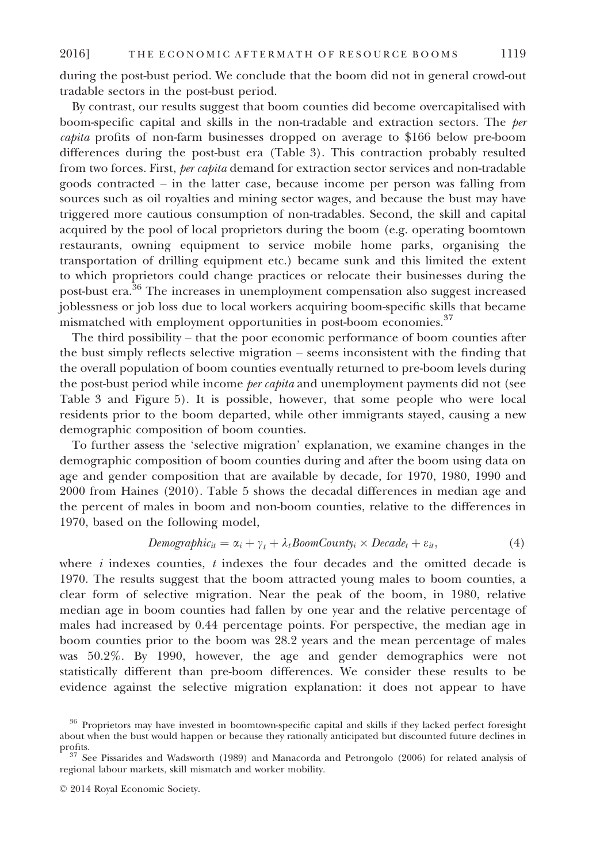during the post-bust period. We conclude that the boom did not in general crowd-out tradable sectors in the post-bust period.

By contrast, our results suggest that boom counties did become overcapitalised with boom-specific capital and skills in the non-tradable and extraction sectors. The per capita profits of non-farm businesses dropped on average to \$166 below pre-boom differences during the post-bust era (Table 3). This contraction probably resulted from two forces. First, per capita demand for extraction sector services and non-tradable goods contracted – in the latter case, because income per person was falling from sources such as oil royalties and mining sector wages, and because the bust may have triggered more cautious consumption of non-tradables. Second, the skill and capital acquired by the pool of local proprietors during the boom (e.g. operating boomtown restaurants, owning equipment to service mobile home parks, organising the transportation of drilling equipment etc.) became sunk and this limited the extent to which proprietors could change practices or relocate their businesses during the post-bust era.36 The increases in unemployment compensation also suggest increased joblessness or job loss due to local workers acquiring boom-specific skills that became mismatched with employment opportunities in post-boom economies.<sup>37</sup>

The third possibility – that the poor economic performance of boom counties after the bust simply reflects selective migration – seems inconsistent with the finding that the overall population of boom counties eventually returned to pre-boom levels during the post-bust period while income *per capita* and unemployment payments did not (see Table 3 and Figure 5). It is possible, however, that some people who were local residents prior to the boom departed, while other immigrants stayed, causing a new demographic composition of boom counties.

To further assess the 'selective migration' explanation, we examine changes in the demographic composition of boom counties during and after the boom using data on age and gender composition that are available by decade, for 1970, 1980, 1990 and 2000 from Haines (2010). Table 5 shows the decadal differences in median age and the percent of males in boom and non-boom counties, relative to the differences in 1970, based on the following model,

$$
Demographic_{it} = \alpha_i + \gamma_t + \lambda_t BoomCounty_i \times Decade_t + \varepsilon_{it}, \qquad (4)
$$

where  $i$  indexes counties,  $t$  indexes the four decades and the omitted decade is 1970. The results suggest that the boom attracted young males to boom counties, a clear form of selective migration. Near the peak of the boom, in 1980, relative median age in boom counties had fallen by one year and the relative percentage of males had increased by 0.44 percentage points. For perspective, the median age in boom counties prior to the boom was 28.2 years and the mean percentage of males was 50.2%. By 1990, however, the age and gender demographics were not statistically different than pre-boom differences. We consider these results to be evidence against the selective migration explanation: it does not appear to have

<sup>36</sup> Proprietors may have invested in boomtown-specific capital and skills if they lacked perfect foresight about when the bust would happen or because they rationally anticipated but discounted future declines in

 $37$  See Pissarides and Wadsworth (1989) and Manacorda and Petrongolo (2006) for related analysis of regional labour markets, skill mismatch and worker mobility.

<sup>©</sup> 2014 Royal Economic Society.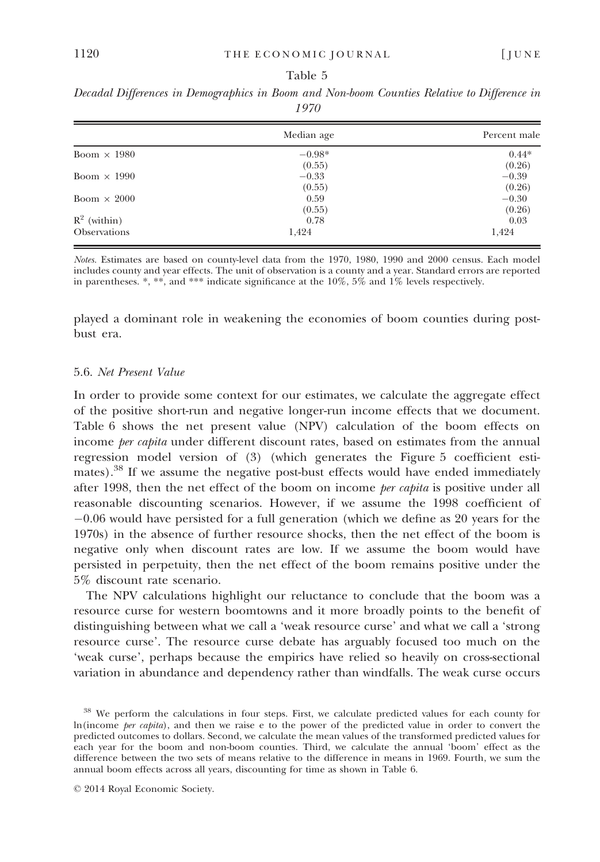|                     | Median age | Percent male |
|---------------------|------------|--------------|
| Boom $\times$ 1980  | $-0.98*$   | $0.44*$      |
|                     | (0.55)     | (0.26)       |
| Boom $\times$ 1990  | $-0.33$    | $-0.39$      |
|                     | (0.55)     | (0.26)       |
| Boom $\times$ 2000  | 0.59       | $-0.30$      |
|                     | (0.55)     | (0.26)       |
| $R^2$ (within)      | 0.78       | 0.03         |
| <b>Observations</b> | 1,424      | 1,424        |

Decadal Differences in Demographics in Boom and Non-boom Counties Relative to Difference in 1970

Notes. Estimates are based on county-level data from the 1970, 1980, 1990 and 2000 census. Each model includes county and year effects. The unit of observation is a county and a year. Standard errors are reported in parentheses. \*, \*\*, and \*\*\* indicate significance at the  $10\%$ ,  $5\%$  and  $1\%$  levels respectively.

played a dominant role in weakening the economies of boom counties during postbust era.

### 5.6. Net Present Value

In order to provide some context for our estimates, we calculate the aggregate effect of the positive short-run and negative longer-run income effects that we document. Table 6 shows the net present value (NPV) calculation of the boom effects on income *per capita* under different discount rates, based on estimates from the annual regression model version of (3) (which generates the Figure 5 coefficient estimates).<sup>38</sup> If we assume the negative post-bust effects would have ended immediately after 1998, then the net effect of the boom on income *per capita* is positive under all reasonable discounting scenarios. However, if we assume the 1998 coefficient of  $-0.06$  would have persisted for a full generation (which we define as 20 years for the 1970s) in the absence of further resource shocks, then the net effect of the boom is negative only when discount rates are low. If we assume the boom would have persisted in perpetuity, then the net effect of the boom remains positive under the 5% discount rate scenario.

The NPV calculations highlight our reluctance to conclude that the boom was a resource curse for western boomtowns and it more broadly points to the benefit of distinguishing between what we call a 'weak resource curse' and what we call a 'strong resource curse'. The resource curse debate has arguably focused too much on the 'weak curse', perhaps because the empirics have relied so heavily on cross-sectional variation in abundance and dependency rather than windfalls. The weak curse occurs

<sup>38</sup> We perform the calculations in four steps. First, we calculate predicted values for each county for ln(income per capita), and then we raise e to the power of the predicted value in order to convert the predicted outcomes to dollars. Second, we calculate the mean values of the transformed predicted values for each year for the boom and non-boom counties. Third, we calculate the annual 'boom' effect as the difference between the two sets of means relative to the difference in means in 1969. Fourth, we sum the annual boom effects across all years, discounting for time as shown in Table 6.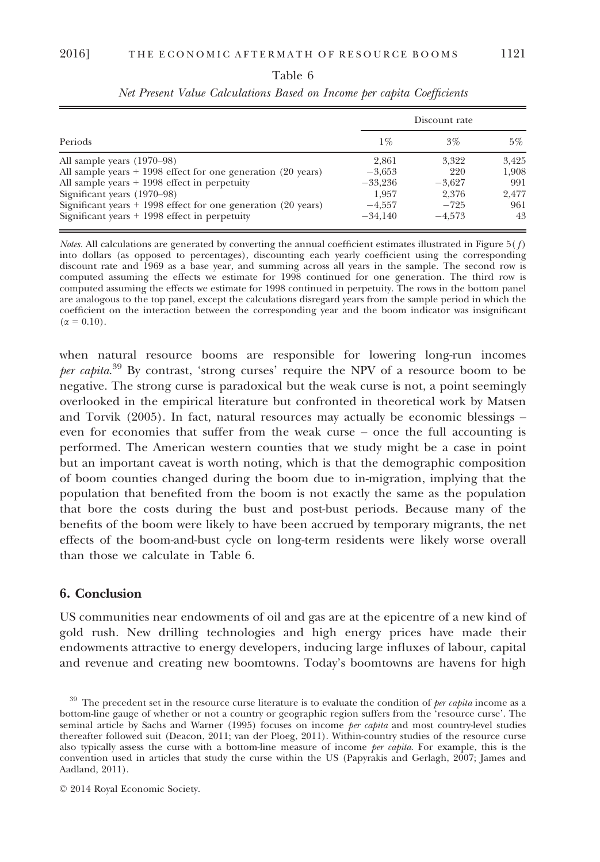|                                                                 |           | Discount rate |       |
|-----------------------------------------------------------------|-----------|---------------|-------|
| <b>Periods</b>                                                  | $1\%$     | $3\%$         | $5\%$ |
| All sample years (1970–98)                                      | 2.861     | 3.322         | 3.425 |
| All sample years $+$ 1998 effect for one generation (20 years)  | $-3.653$  | 220           | 1,908 |
| All sample years $+$ 1998 effect in perpetuity                  | $-33.236$ | $-3.627$      | 991   |
| Significant years (1970–98)                                     | 1.957     | 2.376         | 2.477 |
| Significant years $+$ 1998 effect for one generation (20 years) | $-4.557$  | $-725$        | 961   |
| Significant years $+$ 1998 effect in perpetuity                 | $-34.140$ | $-4.573$      | 43    |

Table 6 Net Present Value Calculations Based on Income per capita Coefficients

Notes. All calculations are generated by converting the annual coefficient estimates illustrated in Figure 5( $f$ ) into dollars (as opposed to percentages), discounting each yearly coefficient using the corresponding discount rate and 1969 as a base year, and summing across all years in the sample. The second row is computed assuming the effects we estimate for 1998 continued for one generation. The third row is computed assuming the effects we estimate for 1998 continued in perpetuity. The rows in the bottom panel are analogous to the top panel, except the calculations disregard years from the sample period in which the coefficient on the interaction between the corresponding year and the boom indicator was insignificant  $(\alpha = 0.10)$ .

when natural resource booms are responsible for lowering long-run incomes per capita.<sup>39</sup> By contrast, 'strong curses' require the NPV of a resource boom to be negative. The strong curse is paradoxical but the weak curse is not, a point seemingly overlooked in the empirical literature but confronted in theoretical work by Matsen and Torvik (2005). In fact, natural resources may actually be economic blessings – even for economies that suffer from the weak curse – once the full accounting is performed. The American western counties that we study might be a case in point but an important caveat is worth noting, which is that the demographic composition of boom counties changed during the boom due to in-migration, implying that the population that benefited from the boom is not exactly the same as the population that bore the costs during the bust and post-bust periods. Because many of the benefits of the boom were likely to have been accrued by temporary migrants, the net effects of the boom-and-bust cycle on long-term residents were likely worse overall than those we calculate in Table 6.

## 6. Conclusion

US communities near endowments of oil and gas are at the epicentre of a new kind of gold rush. New drilling technologies and high energy prices have made their endowments attractive to energy developers, inducing large influxes of labour, capital and revenue and creating new boomtowns. Today's boomtowns are havens for high

 $39$  The precedent set in the resource curse literature is to evaluate the condition of *per capita* income as a bottom-line gauge of whether or not a country or geographic region suffers from the 'resource curse'. The seminal article by Sachs and Warner (1995) focuses on income per capita and most country-level studies thereafter followed suit (Deacon, 2011; van der Ploeg, 2011). Within-country studies of the resource curse also typically assess the curse with a bottom-line measure of income *per capita*. For example, this is the convention used in articles that study the curse within the US (Papyrakis and Gerlagh, 2007; James and Aadland, 2011).

<sup>©</sup> 2014 Royal Economic Society.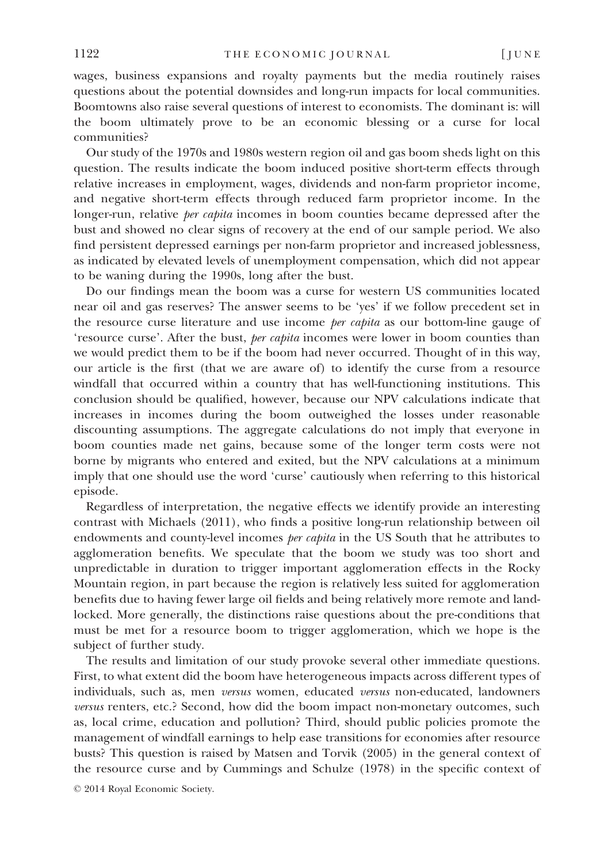wages, business expansions and royalty payments but the media routinely raises questions about the potential downsides and long-run impacts for local communities. Boomtowns also raise several questions of interest to economists. The dominant is: will the boom ultimately prove to be an economic blessing or a curse for local communities?

Our study of the 1970s and 1980s western region oil and gas boom sheds light on this question. The results indicate the boom induced positive short-term effects through relative increases in employment, wages, dividends and non-farm proprietor income, and negative short-term effects through reduced farm proprietor income. In the longer-run, relative *per capita* incomes in boom counties became depressed after the bust and showed no clear signs of recovery at the end of our sample period. We also find persistent depressed earnings per non-farm proprietor and increased joblessness, as indicated by elevated levels of unemployment compensation, which did not appear to be waning during the 1990s, long after the bust.

Do our findings mean the boom was a curse for western US communities located near oil and gas reserves? The answer seems to be 'yes' if we follow precedent set in the resource curse literature and use income *per capita* as our bottom-line gauge of 'resource curse'. After the bust, per capita incomes were lower in boom counties than we would predict them to be if the boom had never occurred. Thought of in this way, our article is the first (that we are aware of) to identify the curse from a resource windfall that occurred within a country that has well-functioning institutions. This conclusion should be qualified, however, because our NPV calculations indicate that increases in incomes during the boom outweighed the losses under reasonable discounting assumptions. The aggregate calculations do not imply that everyone in boom counties made net gains, because some of the longer term costs were not borne by migrants who entered and exited, but the NPV calculations at a minimum imply that one should use the word 'curse' cautiously when referring to this historical episode.

Regardless of interpretation, the negative effects we identify provide an interesting contrast with Michaels (2011), who finds a positive long-run relationship between oil endowments and county-level incomes *per capita* in the US South that he attributes to agglomeration benefits. We speculate that the boom we study was too short and unpredictable in duration to trigger important agglomeration effects in the Rocky Mountain region, in part because the region is relatively less suited for agglomeration benefits due to having fewer large oil fields and being relatively more remote and landlocked. More generally, the distinctions raise questions about the pre-conditions that must be met for a resource boom to trigger agglomeration, which we hope is the subject of further study.

The results and limitation of our study provoke several other immediate questions. First, to what extent did the boom have heterogeneous impacts across different types of individuals, such as, men versus women, educated versus non-educated, landowners versus renters, etc.? Second, how did the boom impact non-monetary outcomes, such as, local crime, education and pollution? Third, should public policies promote the management of windfall earnings to help ease transitions for economies after resource busts? This question is raised by Matsen and Torvik (2005) in the general context of the resource curse and by Cummings and Schulze (1978) in the specific context of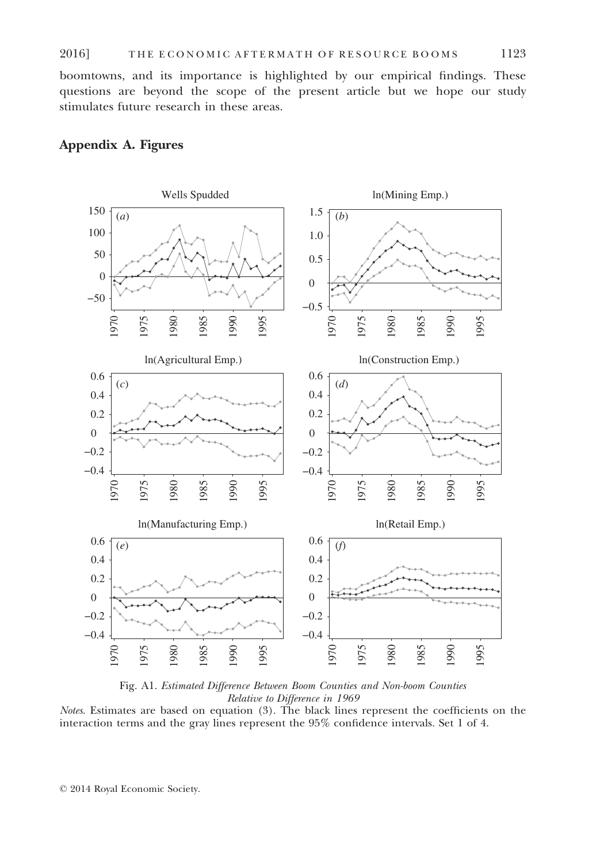boomtowns, and its importance is highlighted by our empirical findings. These questions are beyond the scope of the present article but we hope our study stimulates future research in these areas.

## Appendix A. Figures



Fig. A1. Estimated Difference Between Boom Counties and Non-boom Counties Relative to Difference in 1969

Notes. Estimates are based on equation (3). The black lines represent the coefficients on the interaction terms and the gray lines represent the 95% confidence intervals. Set 1 of 4.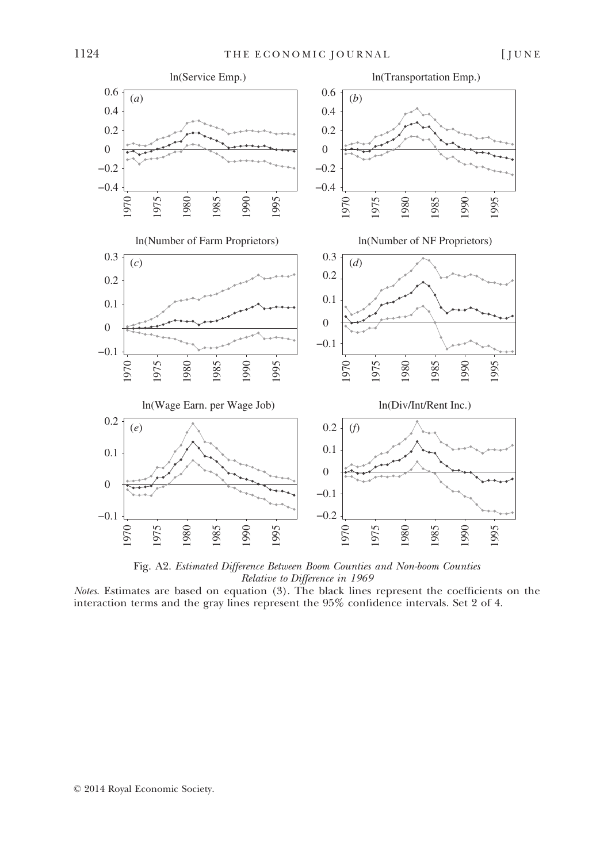

Fig. A2. Estimated Difference Between Boom Counties and Non-boom Counties Relative to Difference in 1969

Notes. Estimates are based on equation (3). The black lines represent the coefficients on the interaction terms and the gray lines represent the 95% confidence intervals. Set 2 of 4.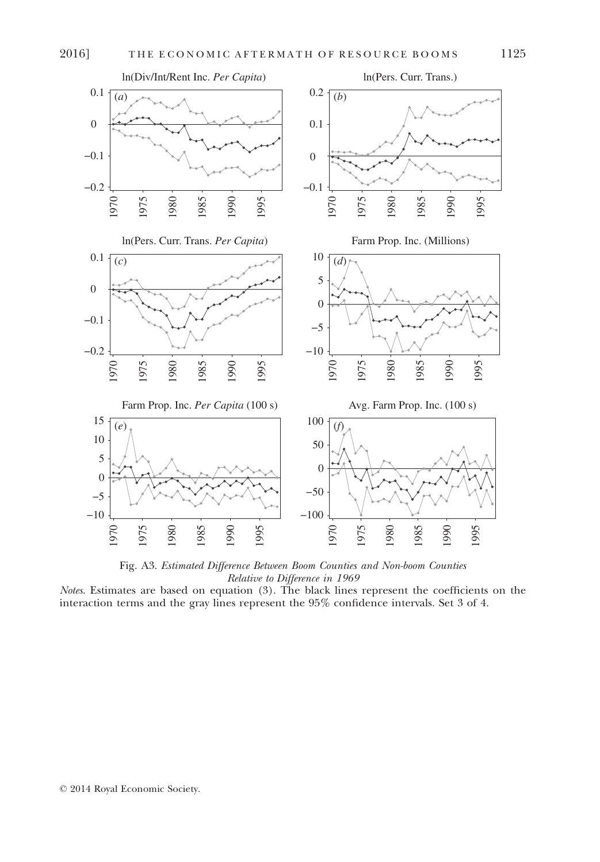

Fig. A3. Estimated Difference Between Boom Counties and Non-boom Counties Relative to Difference in 1969

Notes. Estimates are based on equation (3). The black lines represent the coefficients on the interaction terms and the gray lines represent the 95% confidence intervals. Set 3 of 4.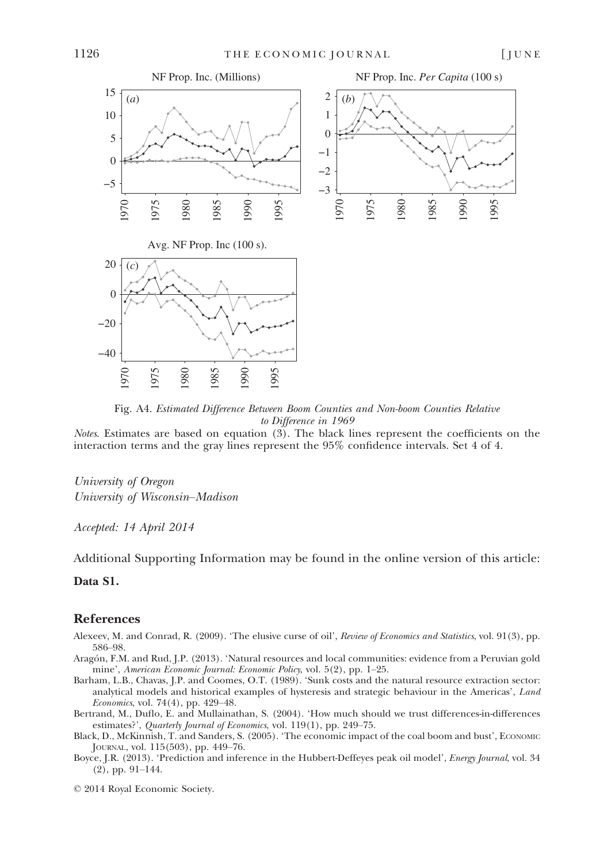

Fig. A4. Estimated Difference Between Boom Counties and Non-boom Counties Relative to Difference in 1969

Notes. Estimates are based on equation (3). The black lines represent the coefficients on the interaction terms and the gray lines represent the 95% confidence intervals. Set 4 of 4.

University of Oregon University of Wisconsin–Madison

Accepted: 14 April 2014

Additional Supporting Information may be found in the online version of this article:

## Data S1.

## References

- Alexeev, M. and Conrad, R. (2009). 'The elusive curse of oil', Review of Economics and Statistics, vol. 91(3), pp. 586–98.
- Aragón, F.M. and Rud, J.P. (2013). 'Natural resources and local communities: evidence from a Peruvian gold mine', American Economic Journal: Economic Policy, vol. 5(2), pp. 1–25.
- Barham, L.B., Chavas, J.P. and Coomes, O.T. (1989). 'Sunk costs and the natural resource extraction sector: analytical models and historical examples of hysteresis and strategic behaviour in the Americas', Land Economics, vol. 74(4), pp. 429–48.
- Bertrand, M., Duflo, E. and Mullainathan, S. (2004). 'How much should we trust differences-in-differences estimates?', Quarterly Journal of Economics, vol. 119(1), pp. 249-75.
- Black, D., McKinnish, T. and Sanders, S. (2005). 'The economic impact of the coal boom and bust', ECONOMIC JOURNAL, vol. 115(503), pp. 449–76.
- Boyce, J.R. (2013). 'Prediction and inference in the Hubbert-Deffeyes peak oil model', *Energy Journal*, vol. 34 (2), pp. 91–144.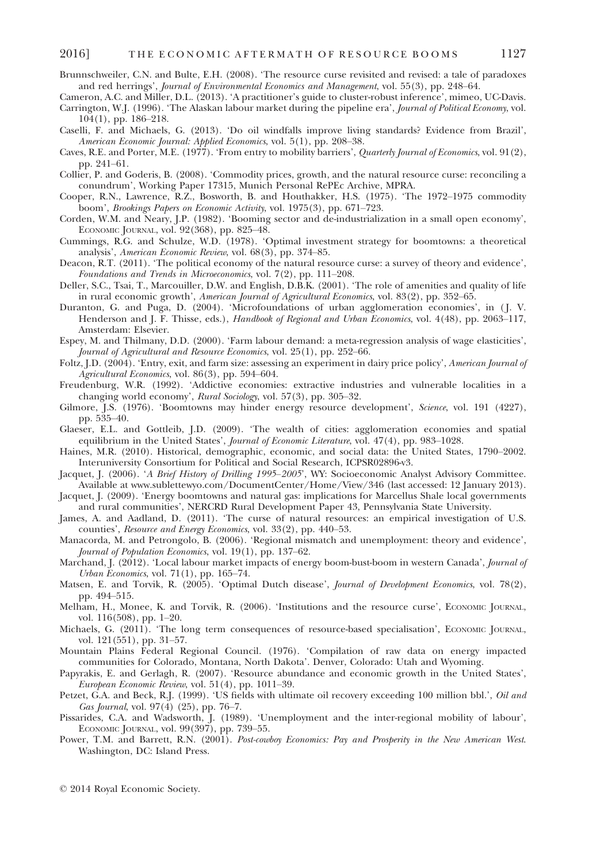- Brunnschweiler, C.N. and Bulte, E.H. (2008). 'The resource curse revisited and revised: a tale of paradoxes and red herrings', Journal of Environmental Economics and Management, vol. 55(3), pp. 248–64.
- Cameron, A.C. and Miller, D.L. (2013). 'A practitioner's guide to cluster-robust inference', mimeo, UC-Davis. Carrington, W.J. (1996). 'The Alaskan labour market during the pipeline era', Journal of Political Economy, vol.

- Caselli, F. and Michaels, G. (2013). 'Do oil windfalls improve living standards? Evidence from Brazil', American Economic Journal: Applied Economics, vol. 5(1), pp. 208–38.
- Caves, R.E. and Porter, M.E. (1977). 'From entry to mobility barriers', Quarterly Journal of Economics, vol. 91(2), pp. 241–61.
- Collier, P. and Goderis, B. (2008). 'Commodity prices, growth, and the natural resource curse: reconciling a conundrum', Working Paper 17315, Munich Personal RePEc Archive, MPRA.
- Cooper, R.N., Lawrence, R.Z., Bosworth, B. and Houthakker, H.S. (1975). 'The 1972–1975 commodity boom', Brookings Papers on Economic Activity, vol. 1975(3), pp. 671–723.
- Corden, W.M. and Neary, J.P. (1982). 'Booming sector and de-industrialization in a small open economy', ECONOMIC JOURNAL, vol. 92(368), pp. 825–48.
- Cummings, R.G. and Schulze, W.D. (1978). 'Optimal investment strategy for boomtowns: a theoretical analysis', American Economic Review, vol. 68(3), pp. 374–85.
- Deacon, R.T. (2011). 'The political economy of the natural resource curse: a survey of theory and evidence', Foundations and Trends in Microeconomics, vol. 7(2), pp. 111–208.
- Deller, S.C., Tsai, T., Marcouiller, D.W. and English, D.B.K. (2001). 'The role of amenities and quality of life in rural economic growth', American Journal of Agricultural Economics, vol. 83(2), pp. 352–65.
- Duranton, G. and Puga, D. (2004). 'Microfoundations of urban agglomeration economies', in ( J. V. Henderson and J. F. Thisse, eds.), *Handbook of Regional and Urban Economics*, vol. 4(48), pp. 2063–117, Amsterdam: Elsevier.
- Espey, M. and Thilmany, D.D. (2000). 'Farm labour demand: a meta-regression analysis of wage elasticities', Journal of Agricultural and Resource Economics, vol. 25(1), pp. 252–66.
- Foltz, J.D. (2004). 'Entry, exit, and farm size: assessing an experiment in dairy price policy', American Journal of Agricultural Economics, vol. 86(3), pp. 594–604.
- Freudenburg, W.R. (1992). 'Addictive economies: extractive industries and vulnerable localities in a changing world economy', Rural Sociology, vol. 57(3), pp. 305–32.
- Gilmore, J.S. (1976). 'Boomtowns may hinder energy resource development', Science, vol. 191 (4227), pp. 535–40.
- Glaeser, E.L. and Gottleib, J.D. (2009). 'The wealth of cities: agglomeration economies and spatial equilibrium in the United States', Journal of Economic Literature, vol. 47(4), pp. 983-1028.
- Haines, M.R. (2010). Historical, demographic, economic, and social data: the United States, 1790–2002. Interuniversity Consortium for Political and Social Research, ICPSR02896-v3.
- Jacquet, J. (2006). 'A Brief History of Drilling 1995–2005', WY: Socioeconomic Analyst Advisory Committee. Available at www.sublettewyo.com/DocumentCenter/Home/View/346 (last accessed: 12 January 2013).
- Jacquet, J. (2009). 'Energy boomtowns and natural gas: implications for Marcellus Shale local governments and rural communities', NERCRD Rural Development Paper 43, Pennsylvania State University.
- James, A. and Aadland, D. (2011). 'The curse of natural resources: an empirical investigation of U.S. counties', Resource and Energy Economics, vol. 33(2), pp. 440–53.
- Manacorda, M. and Petrongolo, B. (2006). 'Regional mismatch and unemployment: theory and evidence', Journal of Population Economics, vol. 19(1), pp. 137–62.
- Marchand, J. (2012). 'Local labour market impacts of energy boom-bust-boom in western Canada', Journal of Urban Economics, vol. 71(1), pp. 165–74.
- Matsen, E. and Torvik, R. (2005). 'Optimal Dutch disease', Journal of Development Economics, vol. 78(2), pp. 494–515.
- Melham, H., Monee, K. and Torvik, R. (2006). 'Institutions and the resource curse', ECONOMIC JOURNAL, vol. 116(508), pp. 1–20.
- Michaels, G. (2011). 'The long term consequences of resource-based specialisation', ECONOMIC JOURNAL, vol. 121(551), pp. 31–57.
- Mountain Plains Federal Regional Council. (1976). 'Compilation of raw data on energy impacted communities for Colorado, Montana, North Dakota'. Denver, Colorado: Utah and Wyoming.
- Papyrakis, E. and Gerlagh, R. (2007). 'Resource abundance and economic growth in the United States', European Economic Review, vol. 51(4), pp. 1011–39.
- Petzet, G.A. and Beck, R.J. (1999). 'US fields with ultimate oil recovery exceeding 100 million bbl.', Oil and Gas Journal, vol. 97(4) (25), pp. 76–7.
- Pissarides, C.A. and Wadsworth, J. (1989). 'Unemployment and the inter-regional mobility of labour', ECONOMIC JOURNAL, vol. 99(397), pp. 739–55.
- Power, T.M. and Barrett, R.N. (2001). Post-cowboy Economics: Pay and Prosperity in the New American West. Washington, DC: Island Press.

<sup>104(1),</sup> pp. 186–218.